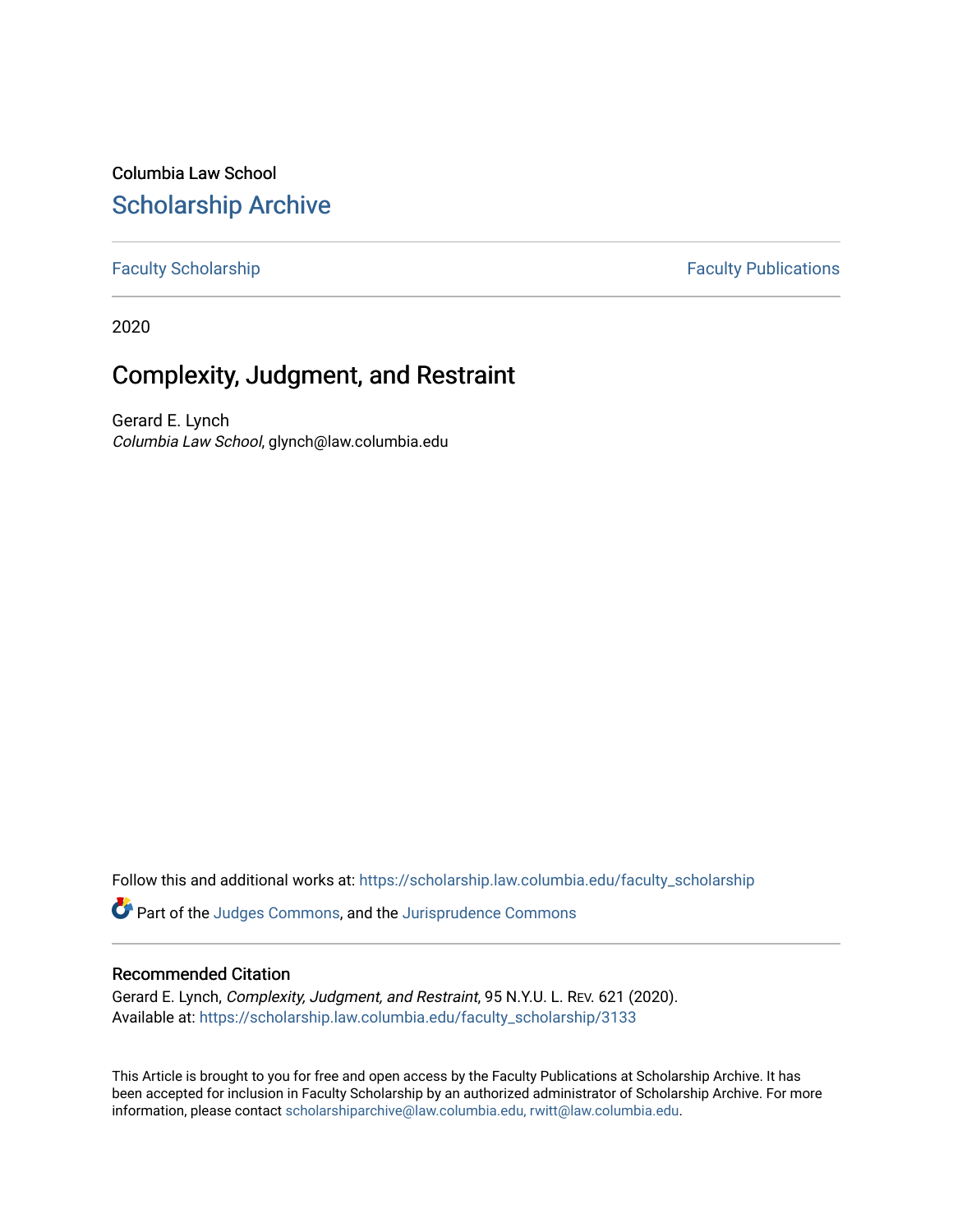# Columbia Law School [Scholarship Archive](https://scholarship.law.columbia.edu/)

# [Faculty Scholarship](https://scholarship.law.columbia.edu/faculty_scholarship) **Faculty Publications**

2020

# Complexity, Judgment, and Restraint

Gerard E. Lynch Columbia Law School, glynch@law.columbia.edu

Follow this and additional works at: [https://scholarship.law.columbia.edu/faculty\\_scholarship](https://scholarship.law.columbia.edu/faculty_scholarship?utm_source=scholarship.law.columbia.edu%2Ffaculty_scholarship%2F3133&utm_medium=PDF&utm_campaign=PDFCoverPages)

Part of the [Judges Commons,](http://network.bepress.com/hgg/discipline/849?utm_source=scholarship.law.columbia.edu%2Ffaculty_scholarship%2F3133&utm_medium=PDF&utm_campaign=PDFCoverPages) and the [Jurisprudence Commons](http://network.bepress.com/hgg/discipline/610?utm_source=scholarship.law.columbia.edu%2Ffaculty_scholarship%2F3133&utm_medium=PDF&utm_campaign=PDFCoverPages) 

# Recommended Citation

Gerard E. Lynch, Complexity, Judgment, and Restraint, 95 N.Y.U. L. REV. 621 (2020). Available at: [https://scholarship.law.columbia.edu/faculty\\_scholarship/3133](https://scholarship.law.columbia.edu/faculty_scholarship/3133?utm_source=scholarship.law.columbia.edu%2Ffaculty_scholarship%2F3133&utm_medium=PDF&utm_campaign=PDFCoverPages)

This Article is brought to you for free and open access by the Faculty Publications at Scholarship Archive. It has been accepted for inclusion in Faculty Scholarship by an authorized administrator of Scholarship Archive. For more information, please contact [scholarshiparchive@law.columbia.edu, rwitt@law.columbia.edu](mailto:scholarshiparchive@law.columbia.edu,%20rwitt@law.columbia.edu).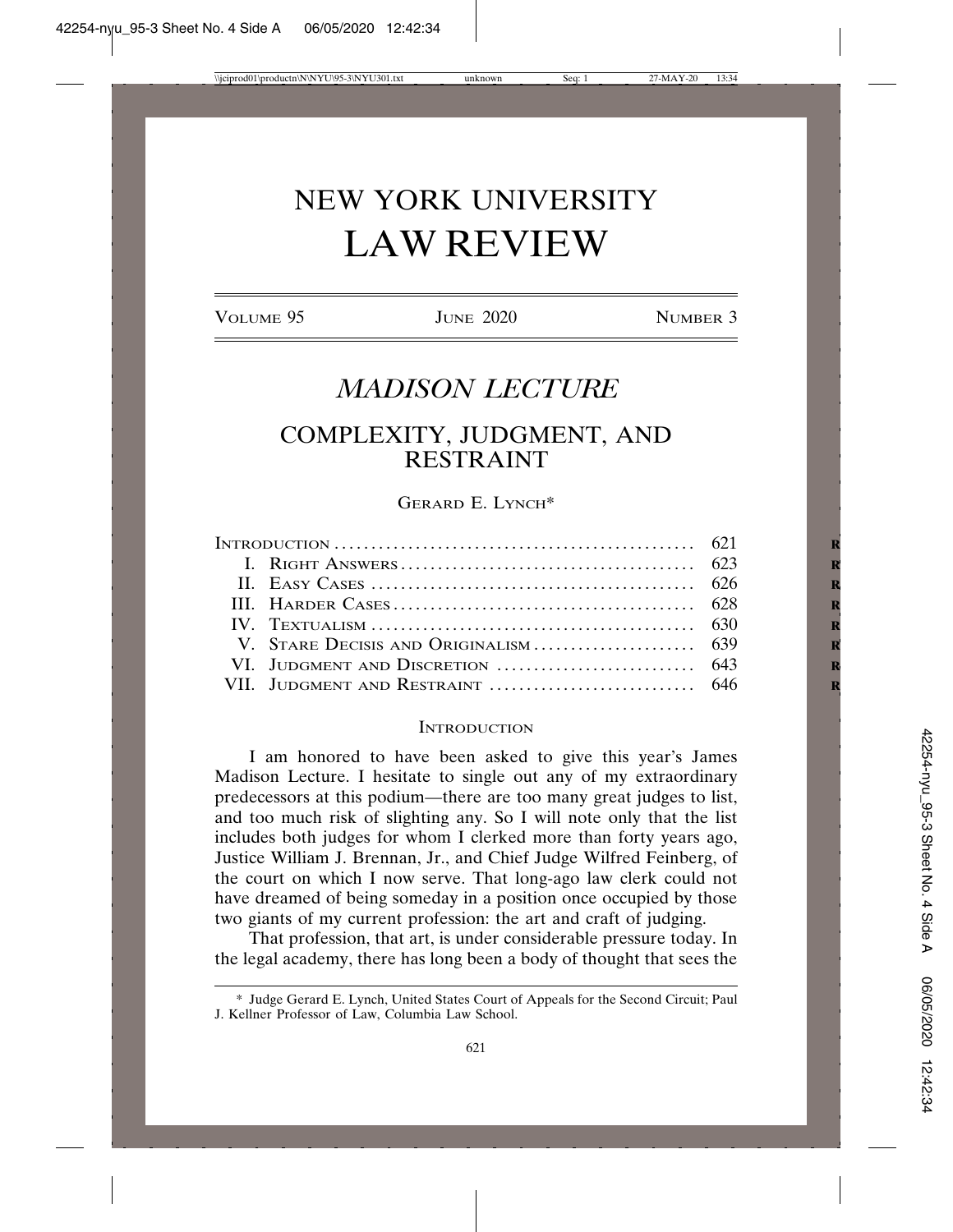# NEW YORK UNIVERSITY LAW REVIEW

VOLUME 95 JUNE 2020 NUMBER 3

# *MADISON LECTURE*

# COMPLEXITY, JUDGMENT, AND RESTRAINT

# GERARD E. LYNCH\*

| INTRODUCTION $\ldots \ldots \ldots \ldots \ldots \ldots \ldots \ldots \ldots \ldots \ldots \ldots$ 621 |  |  |
|--------------------------------------------------------------------------------------------------------|--|--|
|                                                                                                        |  |  |
|                                                                                                        |  |  |
|                                                                                                        |  |  |
|                                                                                                        |  |  |
|                                                                                                        |  |  |
|                                                                                                        |  |  |
|                                                                                                        |  |  |

#### **INTRODUCTION**

I am honored to have been asked to give this year's James Madison Lecture. I hesitate to single out any of my extraordinary predecessors at this podium—there are too many great judges to list, and too much risk of slighting any. So I will note only that the list includes both judges for whom I clerked more than forty years ago, Justice William J. Brennan, Jr., and Chief Judge Wilfred Feinberg, of the court on which I now serve. That long-ago law clerk could not have dreamed of being someday in a position once occupied by those two giants of my current profession: the art and craft of judging.

That profession, that art, is under considerable pressure today. In the legal academy, there has long been a body of thought that sees the

<sup>\*</sup> Judge Gerard E. Lynch, United States Court of Appeals for the Second Circuit; Paul J. Kellner Professor of Law, Columbia Law School.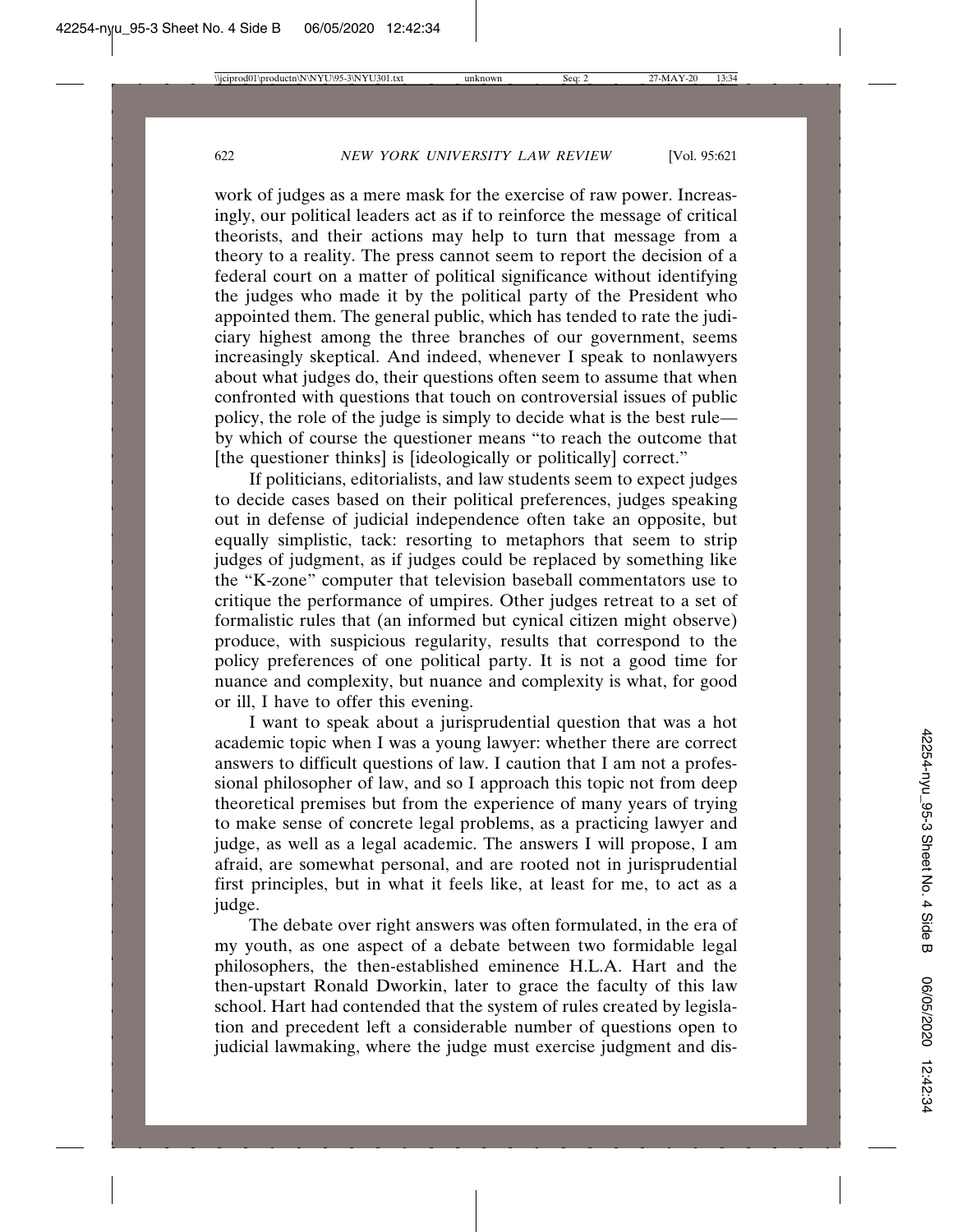work of judges as a mere mask for the exercise of raw power. Increasingly, our political leaders act as if to reinforce the message of critical theorists, and their actions may help to turn that message from a theory to a reality. The press cannot seem to report the decision of a federal court on a matter of political significance without identifying the judges who made it by the political party of the President who appointed them. The general public, which has tended to rate the judiciary highest among the three branches of our government, seems increasingly skeptical. And indeed, whenever I speak to nonlawyers about what judges do, their questions often seem to assume that when confronted with questions that touch on controversial issues of public policy, the role of the judge is simply to decide what is the best rule by which of course the questioner means "to reach the outcome that [the questioner thinks] is [ideologically or politically] correct."

If politicians, editorialists, and law students seem to expect judges to decide cases based on their political preferences, judges speaking out in defense of judicial independence often take an opposite, but equally simplistic, tack: resorting to metaphors that seem to strip judges of judgment, as if judges could be replaced by something like the "K-zone" computer that television baseball commentators use to critique the performance of umpires. Other judges retreat to a set of formalistic rules that (an informed but cynical citizen might observe) produce, with suspicious regularity, results that correspond to the policy preferences of one political party. It is not a good time for nuance and complexity, but nuance and complexity is what, for good or ill, I have to offer this evening.

I want to speak about a jurisprudential question that was a hot academic topic when I was a young lawyer: whether there are correct answers to difficult questions of law. I caution that I am not a professional philosopher of law, and so I approach this topic not from deep theoretical premises but from the experience of many years of trying to make sense of concrete legal problems, as a practicing lawyer and judge, as well as a legal academic. The answers I will propose, I am afraid, are somewhat personal, and are rooted not in jurisprudential first principles, but in what it feels like, at least for me, to act as a judge.

The debate over right answers was often formulated, in the era of my youth, as one aspect of a debate between two formidable legal philosophers, the then-established eminence H.L.A. Hart and the then-upstart Ronald Dworkin, later to grace the faculty of this law school. Hart had contended that the system of rules created by legislation and precedent left a considerable number of questions open to judicial lawmaking, where the judge must exercise judgment and dis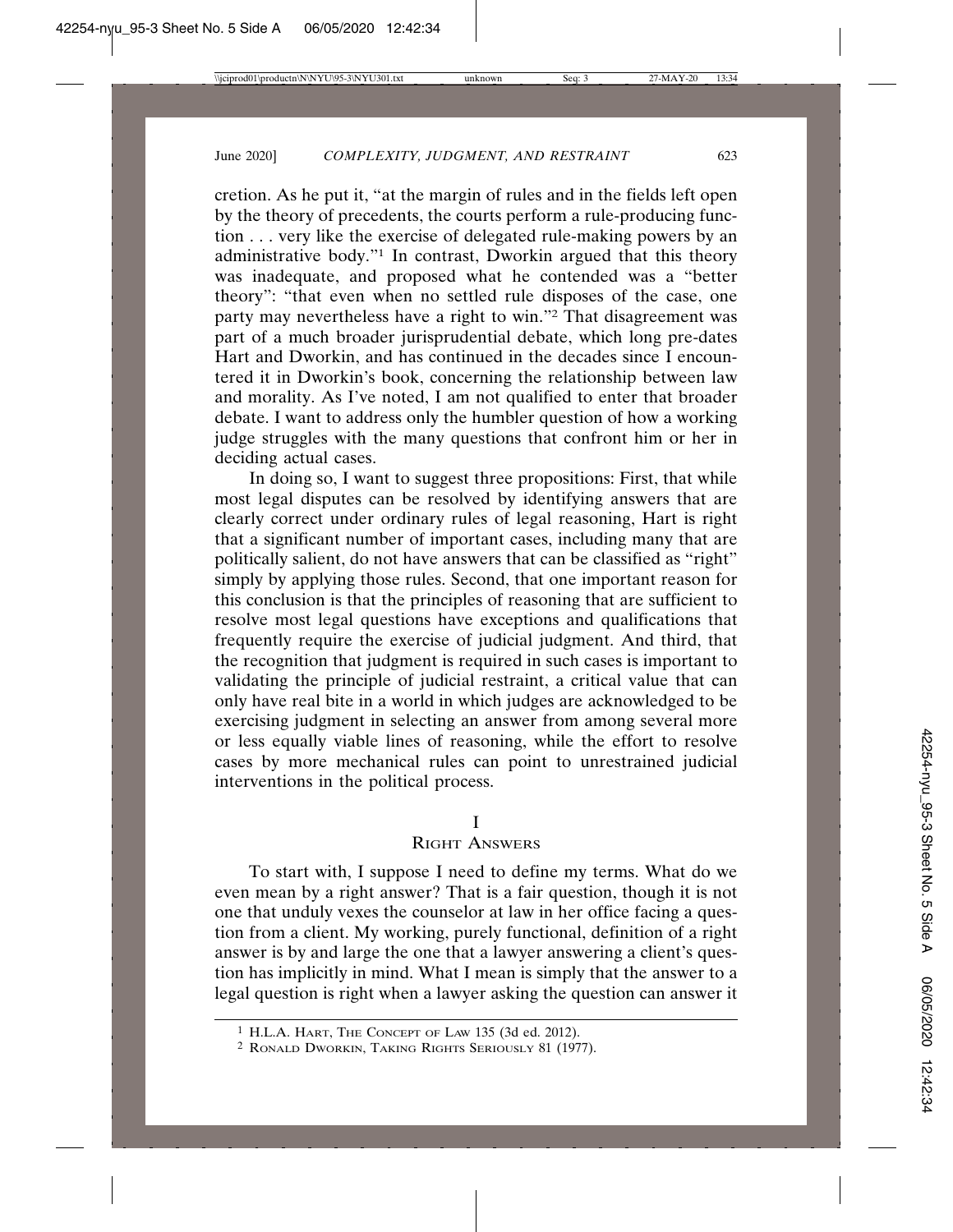cretion. As he put it, "at the margin of rules and in the fields left open by the theory of precedents, the courts perform a rule-producing function . . . very like the exercise of delegated rule-making powers by an administrative body."1 In contrast, Dworkin argued that this theory was inadequate, and proposed what he contended was a "better theory": "that even when no settled rule disposes of the case, one party may nevertheless have a right to win."2 That disagreement was part of a much broader jurisprudential debate, which long pre-dates Hart and Dworkin, and has continued in the decades since I encountered it in Dworkin's book, concerning the relationship between law and morality. As I've noted, I am not qualified to enter that broader debate. I want to address only the humbler question of how a working judge struggles with the many questions that confront him or her in deciding actual cases.

In doing so, I want to suggest three propositions: First, that while most legal disputes can be resolved by identifying answers that are clearly correct under ordinary rules of legal reasoning, Hart is right that a significant number of important cases, including many that are politically salient, do not have answers that can be classified as "right" simply by applying those rules. Second, that one important reason for this conclusion is that the principles of reasoning that are sufficient to resolve most legal questions have exceptions and qualifications that frequently require the exercise of judicial judgment. And third, that the recognition that judgment is required in such cases is important to validating the principle of judicial restraint, a critical value that can only have real bite in a world in which judges are acknowledged to be exercising judgment in selecting an answer from among several more or less equally viable lines of reasoning, while the effort to resolve cases by more mechanical rules can point to unrestrained judicial interventions in the political process.

## I

# RIGHT ANSWERS

To start with, I suppose I need to define my terms. What do we even mean by a right answer? That is a fair question, though it is not one that unduly vexes the counselor at law in her office facing a question from a client. My working, purely functional, definition of a right answer is by and large the one that a lawyer answering a client's question has implicitly in mind. What I mean is simply that the answer to a legal question is right when a lawyer asking the question can answer it

<sup>1</sup> H.L.A. HART, THE CONCEPT OF LAW 135 (3d ed. 2012).

<sup>2</sup> RONALD DWORKIN, TAKING RIGHTS SERIOUSLY 81 (1977).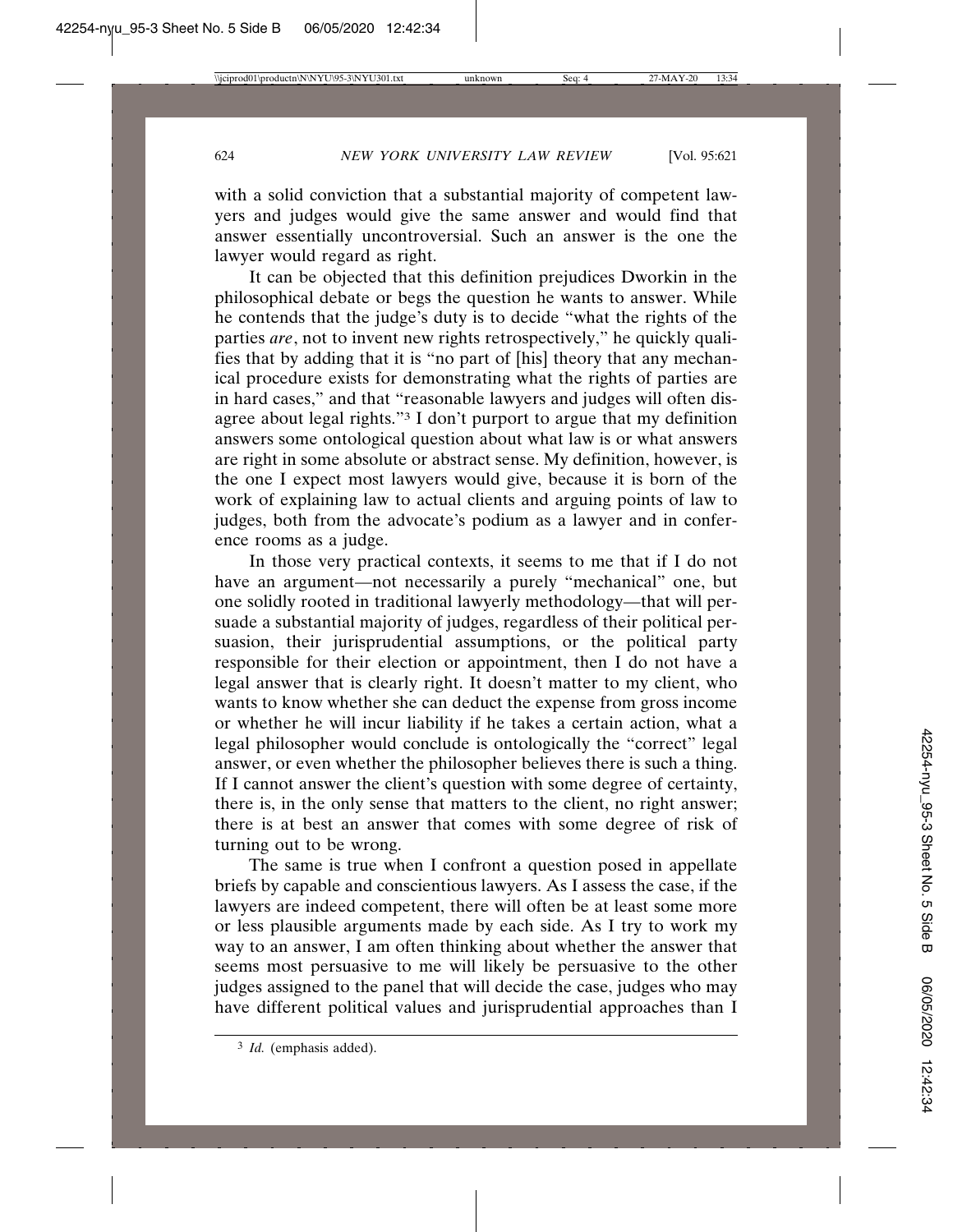with a solid conviction that a substantial majority of competent lawyers and judges would give the same answer and would find that answer essentially uncontroversial. Such an answer is the one the lawyer would regard as right.

It can be objected that this definition prejudices Dworkin in the philosophical debate or begs the question he wants to answer. While he contends that the judge's duty is to decide "what the rights of the parties *are*, not to invent new rights retrospectively," he quickly qualifies that by adding that it is "no part of [his] theory that any mechanical procedure exists for demonstrating what the rights of parties are in hard cases," and that "reasonable lawyers and judges will often disagree about legal rights."3 I don't purport to argue that my definition answers some ontological question about what law is or what answers are right in some absolute or abstract sense. My definition, however, is the one I expect most lawyers would give, because it is born of the work of explaining law to actual clients and arguing points of law to judges, both from the advocate's podium as a lawyer and in conference rooms as a judge.

In those very practical contexts, it seems to me that if I do not have an argument—not necessarily a purely "mechanical" one, but one solidly rooted in traditional lawyerly methodology—that will persuade a substantial majority of judges, regardless of their political persuasion, their jurisprudential assumptions, or the political party responsible for their election or appointment, then I do not have a legal answer that is clearly right. It doesn't matter to my client, who wants to know whether she can deduct the expense from gross income or whether he will incur liability if he takes a certain action, what a legal philosopher would conclude is ontologically the "correct" legal answer, or even whether the philosopher believes there is such a thing. If I cannot answer the client's question with some degree of certainty, there is, in the only sense that matters to the client, no right answer; there is at best an answer that comes with some degree of risk of turning out to be wrong.

The same is true when I confront a question posed in appellate briefs by capable and conscientious lawyers. As I assess the case, if the lawyers are indeed competent, there will often be at least some more or less plausible arguments made by each side. As I try to work my way to an answer, I am often thinking about whether the answer that seems most persuasive to me will likely be persuasive to the other judges assigned to the panel that will decide the case, judges who may have different political values and jurisprudential approaches than I

<sup>3</sup> *Id.* (emphasis added).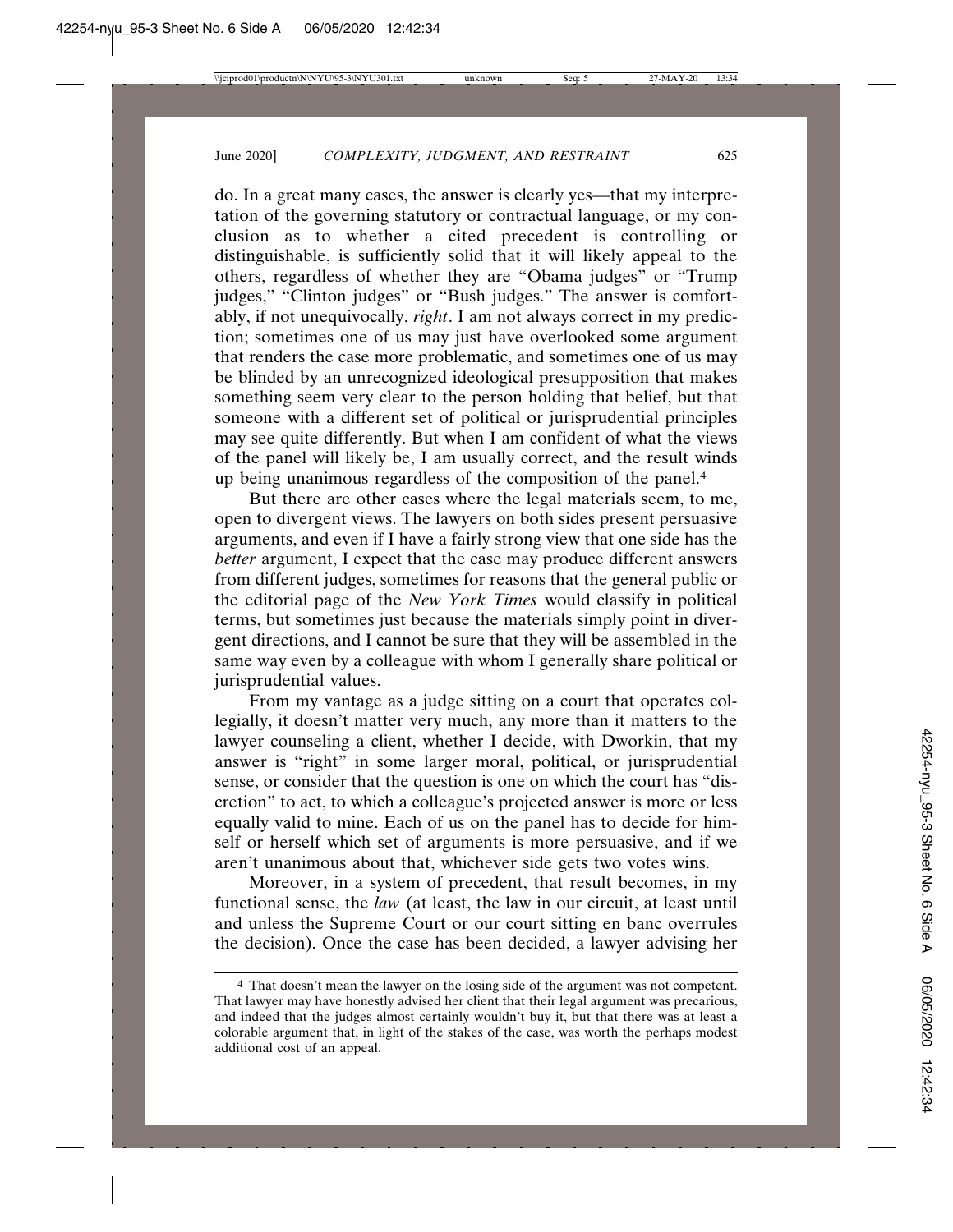do. In a great many cases, the answer is clearly yes—that my interpretation of the governing statutory or contractual language, or my conclusion as to whether a cited precedent is controlling or distinguishable, is sufficiently solid that it will likely appeal to the others, regardless of whether they are "Obama judges" or "Trump judges," "Clinton judges" or "Bush judges." The answer is comfortably, if not unequivocally, *right*. I am not always correct in my prediction; sometimes one of us may just have overlooked some argument that renders the case more problematic, and sometimes one of us may be blinded by an unrecognized ideological presupposition that makes something seem very clear to the person holding that belief, but that someone with a different set of political or jurisprudential principles may see quite differently. But when I am confident of what the views of the panel will likely be, I am usually correct, and the result winds up being unanimous regardless of the composition of the panel.4

But there are other cases where the legal materials seem, to me, open to divergent views. The lawyers on both sides present persuasive arguments, and even if I have a fairly strong view that one side has the *better* argument, I expect that the case may produce different answers from different judges, sometimes for reasons that the general public or the editorial page of the *New York Times* would classify in political terms, but sometimes just because the materials simply point in divergent directions, and I cannot be sure that they will be assembled in the same way even by a colleague with whom I generally share political or jurisprudential values.

From my vantage as a judge sitting on a court that operates collegially, it doesn't matter very much, any more than it matters to the lawyer counseling a client, whether I decide, with Dworkin, that my answer is "right" in some larger moral, political, or jurisprudential sense, or consider that the question is one on which the court has "discretion" to act, to which a colleague's projected answer is more or less equally valid to mine. Each of us on the panel has to decide for himself or herself which set of arguments is more persuasive, and if we aren't unanimous about that, whichever side gets two votes wins.

Moreover, in a system of precedent, that result becomes, in my functional sense, the *law* (at least, the law in our circuit, at least until and unless the Supreme Court or our court sitting en banc overrules the decision). Once the case has been decided, a lawyer advising her

<sup>4</sup> That doesn't mean the lawyer on the losing side of the argument was not competent. That lawyer may have honestly advised her client that their legal argument was precarious, and indeed that the judges almost certainly wouldn't buy it, but that there was at least a colorable argument that, in light of the stakes of the case, was worth the perhaps modest additional cost of an appeal.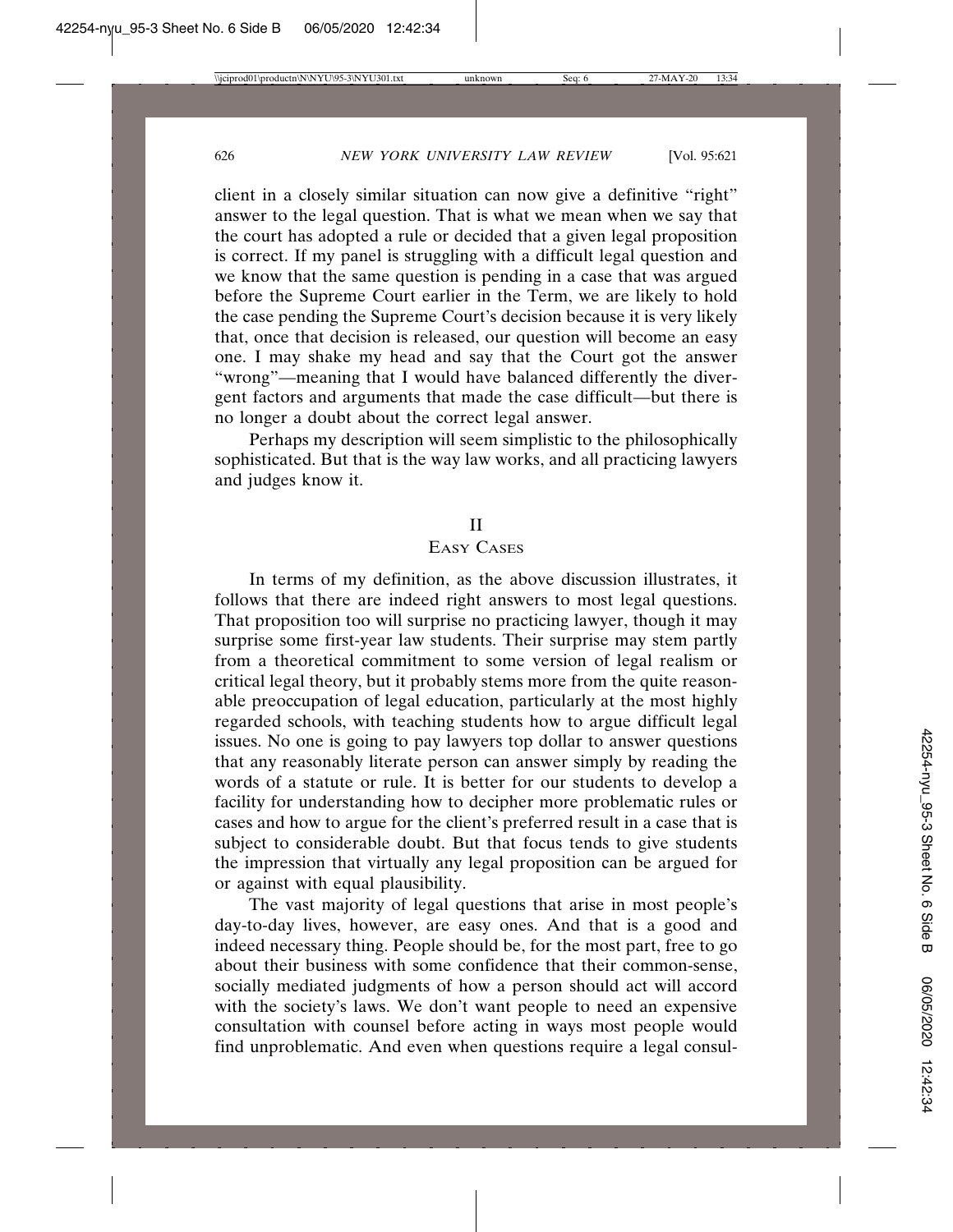client in a closely similar situation can now give a definitive "right" answer to the legal question. That is what we mean when we say that the court has adopted a rule or decided that a given legal proposition is correct. If my panel is struggling with a difficult legal question and we know that the same question is pending in a case that was argued before the Supreme Court earlier in the Term, we are likely to hold the case pending the Supreme Court's decision because it is very likely that, once that decision is released, our question will become an easy one. I may shake my head and say that the Court got the answer "wrong"—meaning that I would have balanced differently the divergent factors and arguments that made the case difficult—but there is no longer a doubt about the correct legal answer.

Perhaps my description will seem simplistic to the philosophically sophisticated. But that is the way law works, and all practicing lawyers and judges know it.

## II

# EASY CASES

In terms of my definition, as the above discussion illustrates, it follows that there are indeed right answers to most legal questions. That proposition too will surprise no practicing lawyer, though it may surprise some first-year law students. Their surprise may stem partly from a theoretical commitment to some version of legal realism or critical legal theory, but it probably stems more from the quite reasonable preoccupation of legal education, particularly at the most highly regarded schools, with teaching students how to argue difficult legal issues. No one is going to pay lawyers top dollar to answer questions that any reasonably literate person can answer simply by reading the words of a statute or rule. It is better for our students to develop a facility for understanding how to decipher more problematic rules or cases and how to argue for the client's preferred result in a case that is subject to considerable doubt. But that focus tends to give students the impression that virtually any legal proposition can be argued for or against with equal plausibility.

The vast majority of legal questions that arise in most people's day-to-day lives, however, are easy ones. And that is a good and indeed necessary thing. People should be, for the most part, free to go about their business with some confidence that their common-sense, socially mediated judgments of how a person should act will accord with the society's laws. We don't want people to need an expensive consultation with counsel before acting in ways most people would find unproblematic. And even when questions require a legal consul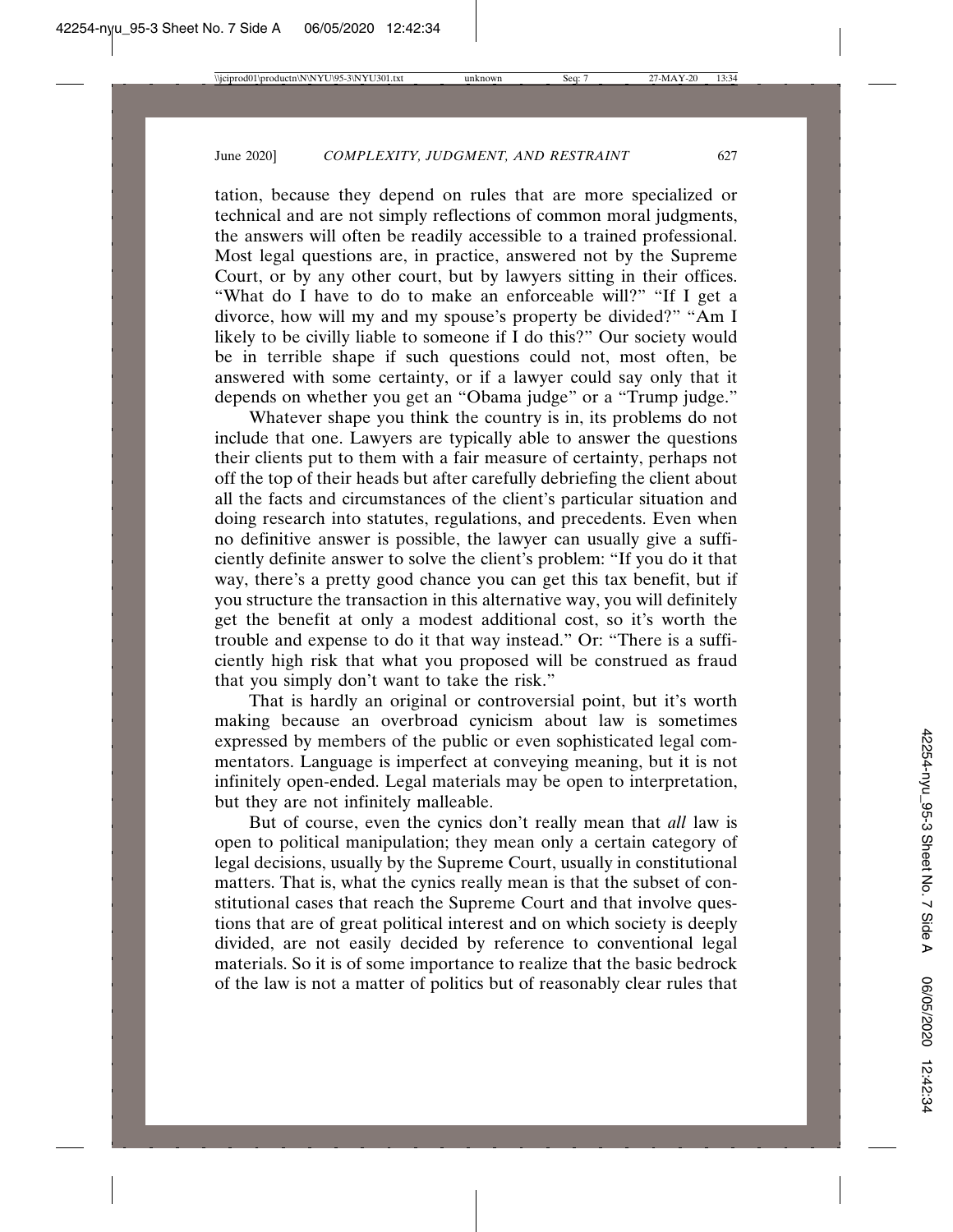tation, because they depend on rules that are more specialized or technical and are not simply reflections of common moral judgments, the answers will often be readily accessible to a trained professional. Most legal questions are, in practice, answered not by the Supreme Court, or by any other court, but by lawyers sitting in their offices. "What do I have to do to make an enforceable will?" "If I get a divorce, how will my and my spouse's property be divided?" "Am I likely to be civilly liable to someone if I do this?" Our society would be in terrible shape if such questions could not, most often, be answered with some certainty, or if a lawyer could say only that it depends on whether you get an "Obama judge" or a "Trump judge."

Whatever shape you think the country is in, its problems do not include that one. Lawyers are typically able to answer the questions their clients put to them with a fair measure of certainty, perhaps not off the top of their heads but after carefully debriefing the client about all the facts and circumstances of the client's particular situation and doing research into statutes, regulations, and precedents. Even when no definitive answer is possible, the lawyer can usually give a sufficiently definite answer to solve the client's problem: "If you do it that way, there's a pretty good chance you can get this tax benefit, but if you structure the transaction in this alternative way, you will definitely get the benefit at only a modest additional cost, so it's worth the trouble and expense to do it that way instead." Or: "There is a sufficiently high risk that what you proposed will be construed as fraud that you simply don't want to take the risk."

That is hardly an original or controversial point, but it's worth making because an overbroad cynicism about law is sometimes expressed by members of the public or even sophisticated legal commentators. Language is imperfect at conveying meaning, but it is not infinitely open-ended. Legal materials may be open to interpretation, but they are not infinitely malleable.

But of course, even the cynics don't really mean that *all* law is open to political manipulation; they mean only a certain category of legal decisions, usually by the Supreme Court, usually in constitutional matters. That is, what the cynics really mean is that the subset of constitutional cases that reach the Supreme Court and that involve questions that are of great political interest and on which society is deeply divided, are not easily decided by reference to conventional legal materials. So it is of some importance to realize that the basic bedrock of the law is not a matter of politics but of reasonably clear rules that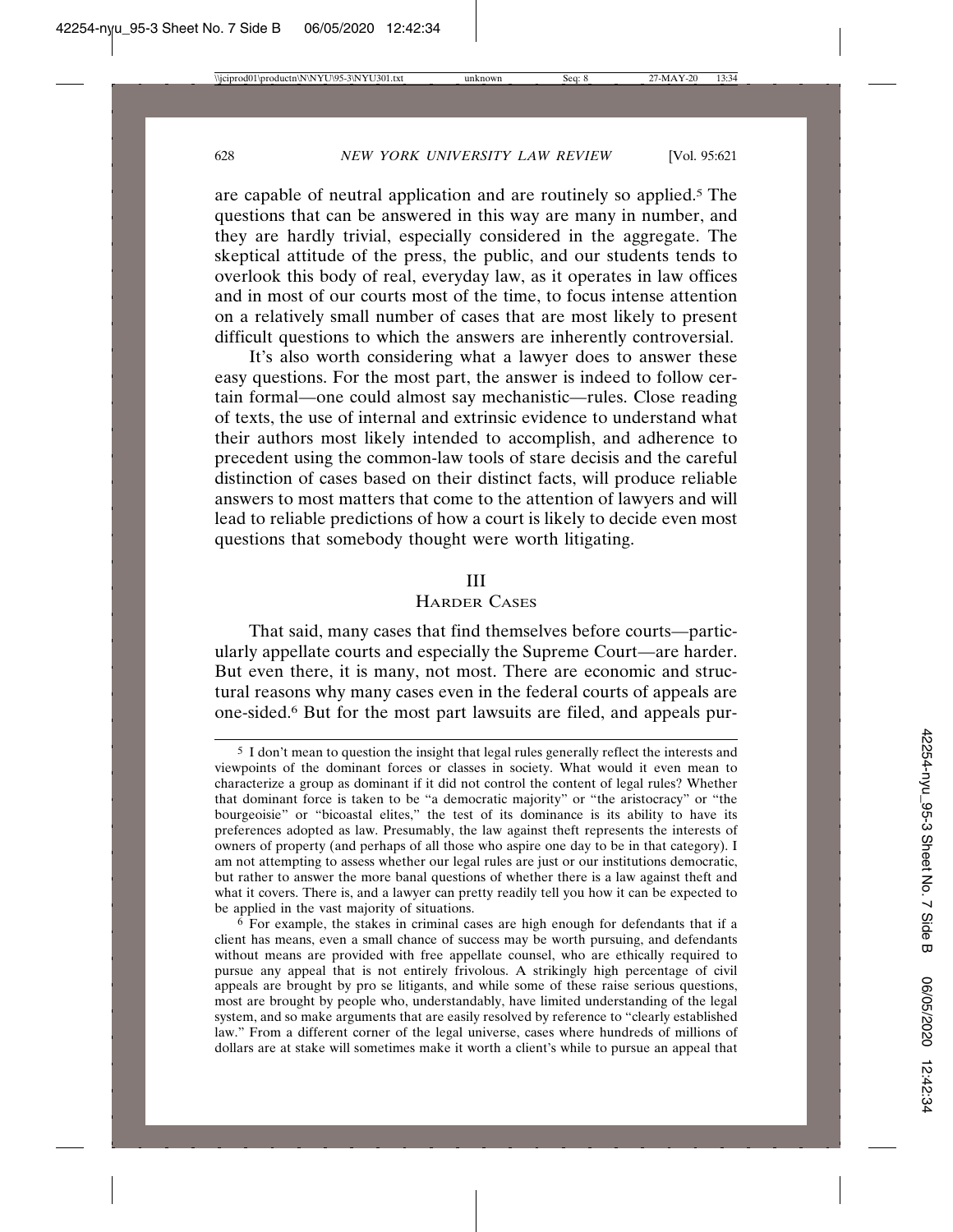are capable of neutral application and are routinely so applied.5 The questions that can be answered in this way are many in number, and they are hardly trivial, especially considered in the aggregate. The skeptical attitude of the press, the public, and our students tends to overlook this body of real, everyday law, as it operates in law offices and in most of our courts most of the time, to focus intense attention on a relatively small number of cases that are most likely to present difficult questions to which the answers are inherently controversial.

It's also worth considering what a lawyer does to answer these easy questions. For the most part, the answer is indeed to follow certain formal—one could almost say mechanistic—rules. Close reading of texts, the use of internal and extrinsic evidence to understand what their authors most likely intended to accomplish, and adherence to precedent using the common-law tools of stare decisis and the careful distinction of cases based on their distinct facts, will produce reliable answers to most matters that come to the attention of lawyers and will lead to reliable predictions of how a court is likely to decide even most questions that somebody thought were worth litigating.

### III

# HARDER CASES

That said, many cases that find themselves before courts—particularly appellate courts and especially the Supreme Court—are harder. But even there, it is many, not most. There are economic and structural reasons why many cases even in the federal courts of appeals are one-sided.6 But for the most part lawsuits are filed, and appeals pur-

<sup>5</sup> I don't mean to question the insight that legal rules generally reflect the interests and viewpoints of the dominant forces or classes in society. What would it even mean to characterize a group as dominant if it did not control the content of legal rules? Whether that dominant force is taken to be "a democratic majority" or "the aristocracy" or "the bourgeoisie" or "bicoastal elites," the test of its dominance is its ability to have its preferences adopted as law. Presumably, the law against theft represents the interests of owners of property (and perhaps of all those who aspire one day to be in that category). I am not attempting to assess whether our legal rules are just or our institutions democratic, but rather to answer the more banal questions of whether there is a law against theft and what it covers. There is, and a lawyer can pretty readily tell you how it can be expected to be applied in the vast majority of situations.

<sup>6</sup> For example, the stakes in criminal cases are high enough for defendants that if a client has means, even a small chance of success may be worth pursuing, and defendants without means are provided with free appellate counsel, who are ethically required to pursue any appeal that is not entirely frivolous. A strikingly high percentage of civil appeals are brought by pro se litigants, and while some of these raise serious questions, most are brought by people who, understandably, have limited understanding of the legal system, and so make arguments that are easily resolved by reference to "clearly established law." From a different corner of the legal universe, cases where hundreds of millions of dollars are at stake will sometimes make it worth a client's while to pursue an appeal that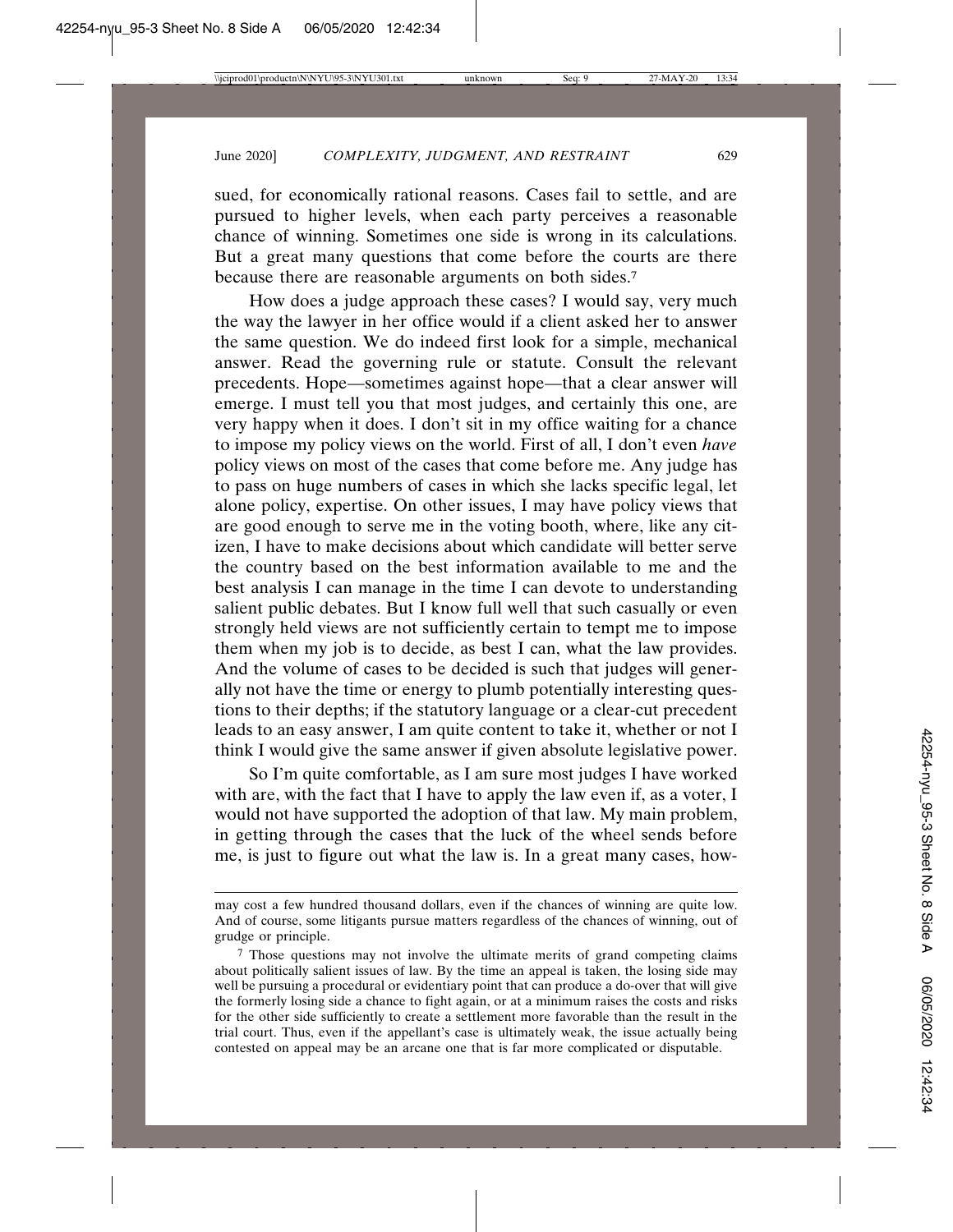sued, for economically rational reasons. Cases fail to settle, and are pursued to higher levels, when each party perceives a reasonable chance of winning. Sometimes one side is wrong in its calculations. But a great many questions that come before the courts are there because there are reasonable arguments on both sides.7

How does a judge approach these cases? I would say, very much the way the lawyer in her office would if a client asked her to answer the same question. We do indeed first look for a simple, mechanical answer. Read the governing rule or statute. Consult the relevant precedents. Hope—sometimes against hope—that a clear answer will emerge. I must tell you that most judges, and certainly this one, are very happy when it does. I don't sit in my office waiting for a chance to impose my policy views on the world. First of all, I don't even *have* policy views on most of the cases that come before me. Any judge has to pass on huge numbers of cases in which she lacks specific legal, let alone policy, expertise. On other issues, I may have policy views that are good enough to serve me in the voting booth, where, like any citizen, I have to make decisions about which candidate will better serve the country based on the best information available to me and the best analysis I can manage in the time I can devote to understanding salient public debates. But I know full well that such casually or even strongly held views are not sufficiently certain to tempt me to impose them when my job is to decide, as best I can, what the law provides. And the volume of cases to be decided is such that judges will generally not have the time or energy to plumb potentially interesting questions to their depths; if the statutory language or a clear-cut precedent leads to an easy answer, I am quite content to take it, whether or not I think I would give the same answer if given absolute legislative power.

So I'm quite comfortable, as I am sure most judges I have worked with are, with the fact that I have to apply the law even if, as a voter, I would not have supported the adoption of that law. My main problem, in getting through the cases that the luck of the wheel sends before me, is just to figure out what the law is. In a great many cases, how-

may cost a few hundred thousand dollars, even if the chances of winning are quite low. And of course, some litigants pursue matters regardless of the chances of winning, out of grudge or principle.

<sup>7</sup> Those questions may not involve the ultimate merits of grand competing claims about politically salient issues of law. By the time an appeal is taken, the losing side may well be pursuing a procedural or evidentiary point that can produce a do-over that will give the formerly losing side a chance to fight again, or at a minimum raises the costs and risks for the other side sufficiently to create a settlement more favorable than the result in the trial court. Thus, even if the appellant's case is ultimately weak, the issue actually being contested on appeal may be an arcane one that is far more complicated or disputable.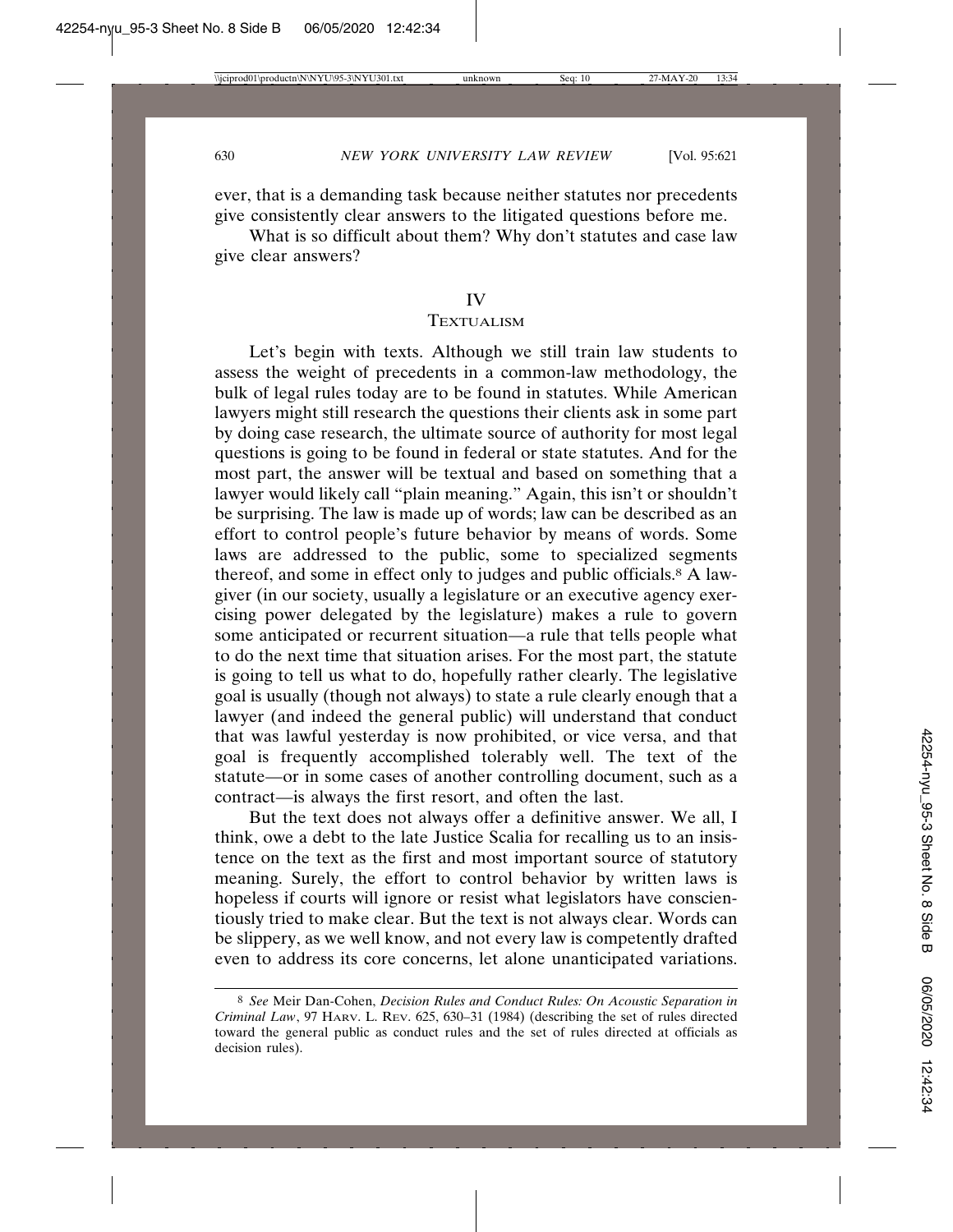ever, that is a demanding task because neither statutes nor precedents give consistently clear answers to the litigated questions before me.

What is so difficult about them? Why don't statutes and case law give clear answers?

#### IV

#### **TEXTUALISM**

Let's begin with texts. Although we still train law students to assess the weight of precedents in a common-law methodology, the bulk of legal rules today are to be found in statutes. While American lawyers might still research the questions their clients ask in some part by doing case research, the ultimate source of authority for most legal questions is going to be found in federal or state statutes. And for the most part, the answer will be textual and based on something that a lawyer would likely call "plain meaning." Again, this isn't or shouldn't be surprising. The law is made up of words; law can be described as an effort to control people's future behavior by means of words. Some laws are addressed to the public, some to specialized segments thereof, and some in effect only to judges and public officials.8 A lawgiver (in our society, usually a legislature or an executive agency exercising power delegated by the legislature) makes a rule to govern some anticipated or recurrent situation—a rule that tells people what to do the next time that situation arises. For the most part, the statute is going to tell us what to do, hopefully rather clearly. The legislative goal is usually (though not always) to state a rule clearly enough that a lawyer (and indeed the general public) will understand that conduct that was lawful yesterday is now prohibited, or vice versa, and that goal is frequently accomplished tolerably well. The text of the statute—or in some cases of another controlling document, such as a contract—is always the first resort, and often the last.

But the text does not always offer a definitive answer. We all, I think, owe a debt to the late Justice Scalia for recalling us to an insistence on the text as the first and most important source of statutory meaning. Surely, the effort to control behavior by written laws is hopeless if courts will ignore or resist what legislators have conscientiously tried to make clear. But the text is not always clear. Words can be slippery, as we well know, and not every law is competently drafted even to address its core concerns, let alone unanticipated variations.

<sup>8</sup> *See* Meir Dan-Cohen, *Decision Rules and Conduct Rules: On Acoustic Separation in Criminal Law*, 97 HARV. L. REV. 625, 630–31 (1984) (describing the set of rules directed toward the general public as conduct rules and the set of rules directed at officials as decision rules).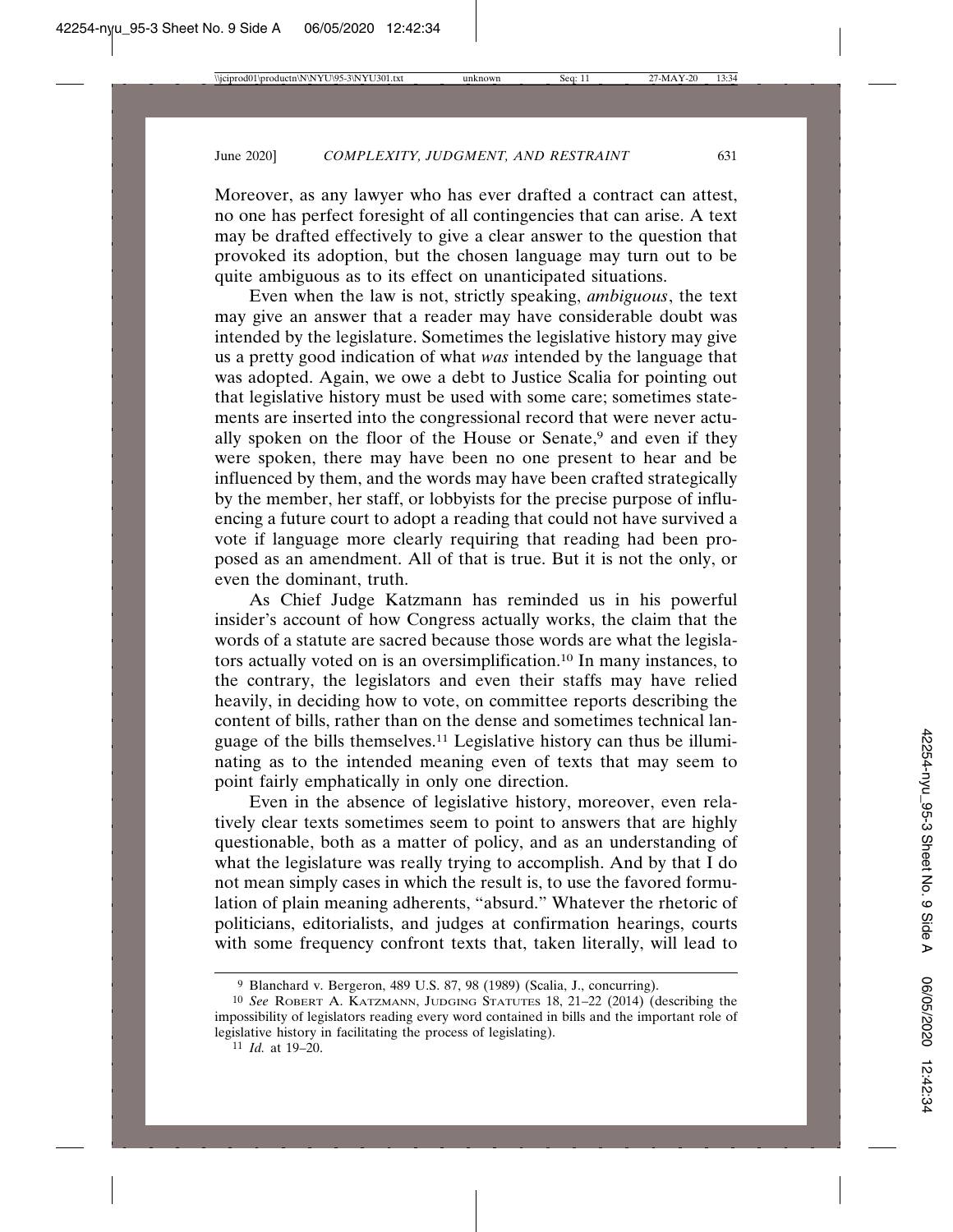Moreover, as any lawyer who has ever drafted a contract can attest, no one has perfect foresight of all contingencies that can arise. A text may be drafted effectively to give a clear answer to the question that provoked its adoption, but the chosen language may turn out to be quite ambiguous as to its effect on unanticipated situations.

Even when the law is not, strictly speaking, *ambiguous*, the text may give an answer that a reader may have considerable doubt was intended by the legislature. Sometimes the legislative history may give us a pretty good indication of what *was* intended by the language that was adopted. Again, we owe a debt to Justice Scalia for pointing out that legislative history must be used with some care; sometimes statements are inserted into the congressional record that were never actually spoken on the floor of the House or Senate,<sup>9</sup> and even if they were spoken, there may have been no one present to hear and be influenced by them, and the words may have been crafted strategically by the member, her staff, or lobbyists for the precise purpose of influencing a future court to adopt a reading that could not have survived a vote if language more clearly requiring that reading had been proposed as an amendment. All of that is true. But it is not the only, or even the dominant, truth.

As Chief Judge Katzmann has reminded us in his powerful insider's account of how Congress actually works, the claim that the words of a statute are sacred because those words are what the legislators actually voted on is an oversimplification.10 In many instances, to the contrary, the legislators and even their staffs may have relied heavily, in deciding how to vote, on committee reports describing the content of bills, rather than on the dense and sometimes technical language of the bills themselves.11 Legislative history can thus be illuminating as to the intended meaning even of texts that may seem to point fairly emphatically in only one direction.

Even in the absence of legislative history, moreover, even relatively clear texts sometimes seem to point to answers that are highly questionable, both as a matter of policy, and as an understanding of what the legislature was really trying to accomplish. And by that I do not mean simply cases in which the result is, to use the favored formulation of plain meaning adherents, "absurd." Whatever the rhetoric of politicians, editorialists, and judges at confirmation hearings, courts with some frequency confront texts that, taken literally, will lead to

<sup>9</sup> Blanchard v. Bergeron, 489 U.S. 87, 98 (1989) (Scalia, J., concurring).

<sup>10</sup> *See* ROBERT A. KATZMANN, JUDGING STATUTES 18, 21–22 (2014) (describing the impossibility of legislators reading every word contained in bills and the important role of legislative history in facilitating the process of legislating).

<sup>11</sup> *Id.* at 19–20.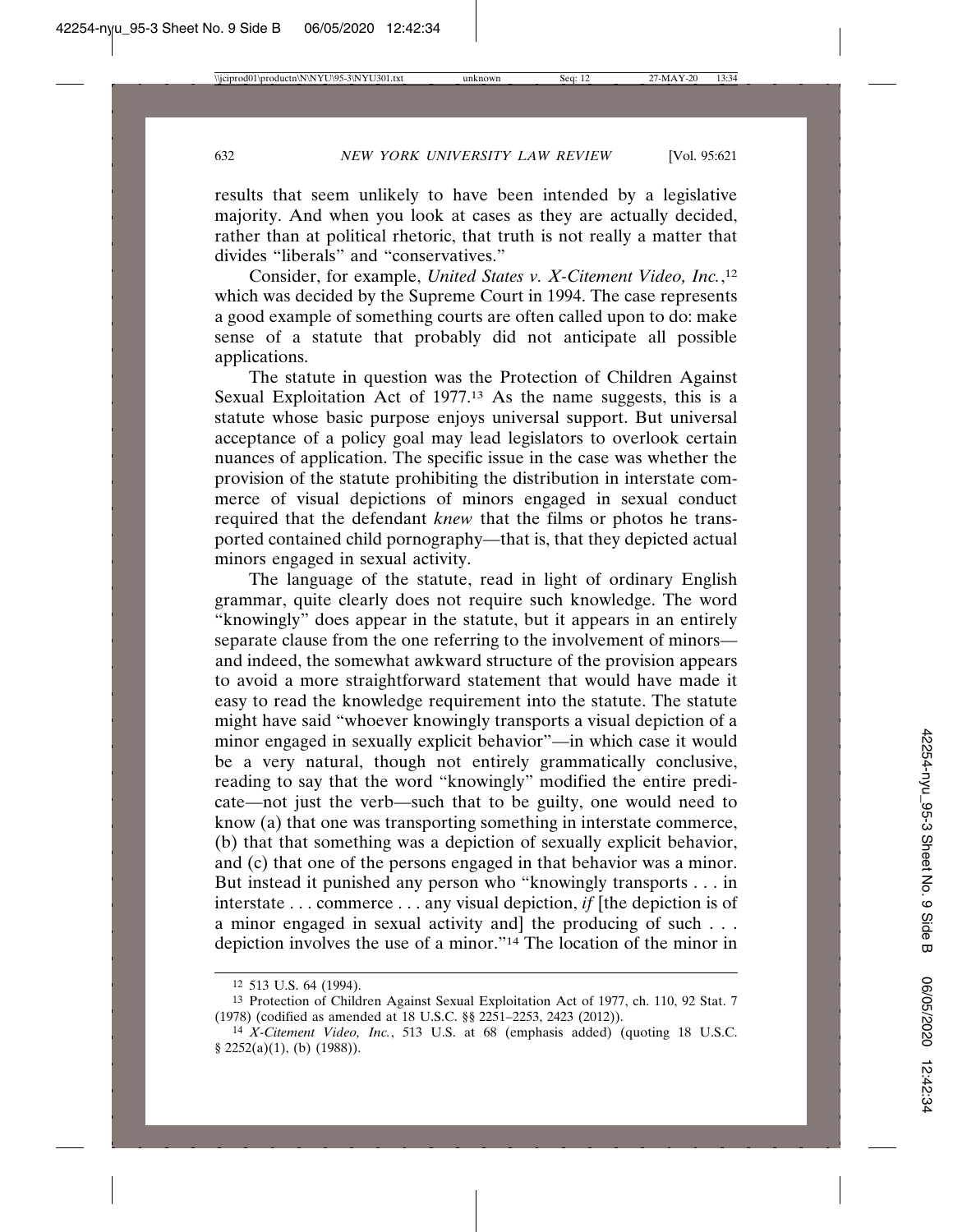results that seem unlikely to have been intended by a legislative majority. And when you look at cases as they are actually decided, rather than at political rhetoric, that truth is not really a matter that divides "liberals" and "conservatives."

Consider, for example, *United States v. X-Citement Video, Inc.*, 12 which was decided by the Supreme Court in 1994. The case represents a good example of something courts are often called upon to do: make sense of a statute that probably did not anticipate all possible applications.

The statute in question was the Protection of Children Against Sexual Exploitation Act of 1977.<sup>13</sup> As the name suggests, this is a statute whose basic purpose enjoys universal support. But universal acceptance of a policy goal may lead legislators to overlook certain nuances of application. The specific issue in the case was whether the provision of the statute prohibiting the distribution in interstate commerce of visual depictions of minors engaged in sexual conduct required that the defendant *knew* that the films or photos he transported contained child pornography—that is, that they depicted actual minors engaged in sexual activity.

The language of the statute, read in light of ordinary English grammar, quite clearly does not require such knowledge. The word "knowingly" does appear in the statute, but it appears in an entirely separate clause from the one referring to the involvement of minors and indeed, the somewhat awkward structure of the provision appears to avoid a more straightforward statement that would have made it easy to read the knowledge requirement into the statute. The statute might have said "whoever knowingly transports a visual depiction of a minor engaged in sexually explicit behavior"—in which case it would be a very natural, though not entirely grammatically conclusive, reading to say that the word "knowingly" modified the entire predicate—not just the verb—such that to be guilty, one would need to know (a) that one was transporting something in interstate commerce, (b) that that something was a depiction of sexually explicit behavior, and (c) that one of the persons engaged in that behavior was a minor. But instead it punished any person who "knowingly transports . . . in interstate . . . commerce . . . any visual depiction, *if* [the depiction is of a minor engaged in sexual activity and the producing of such . . . depiction involves the use of a minor."14 The location of the minor in

<sup>12</sup> 513 U.S. 64 (1994).

<sup>13</sup> Protection of Children Against Sexual Exploitation Act of 1977, ch. 110, 92 Stat. 7 (1978) (codified as amended at 18 U.S.C. §§ 2251–2253, 2423 (2012)).

<sup>14</sup> *X-Citement Video, Inc.*, 513 U.S. at 68 (emphasis added) (quoting 18 U.S.C. § 2252(a)(1), (b) (1988)).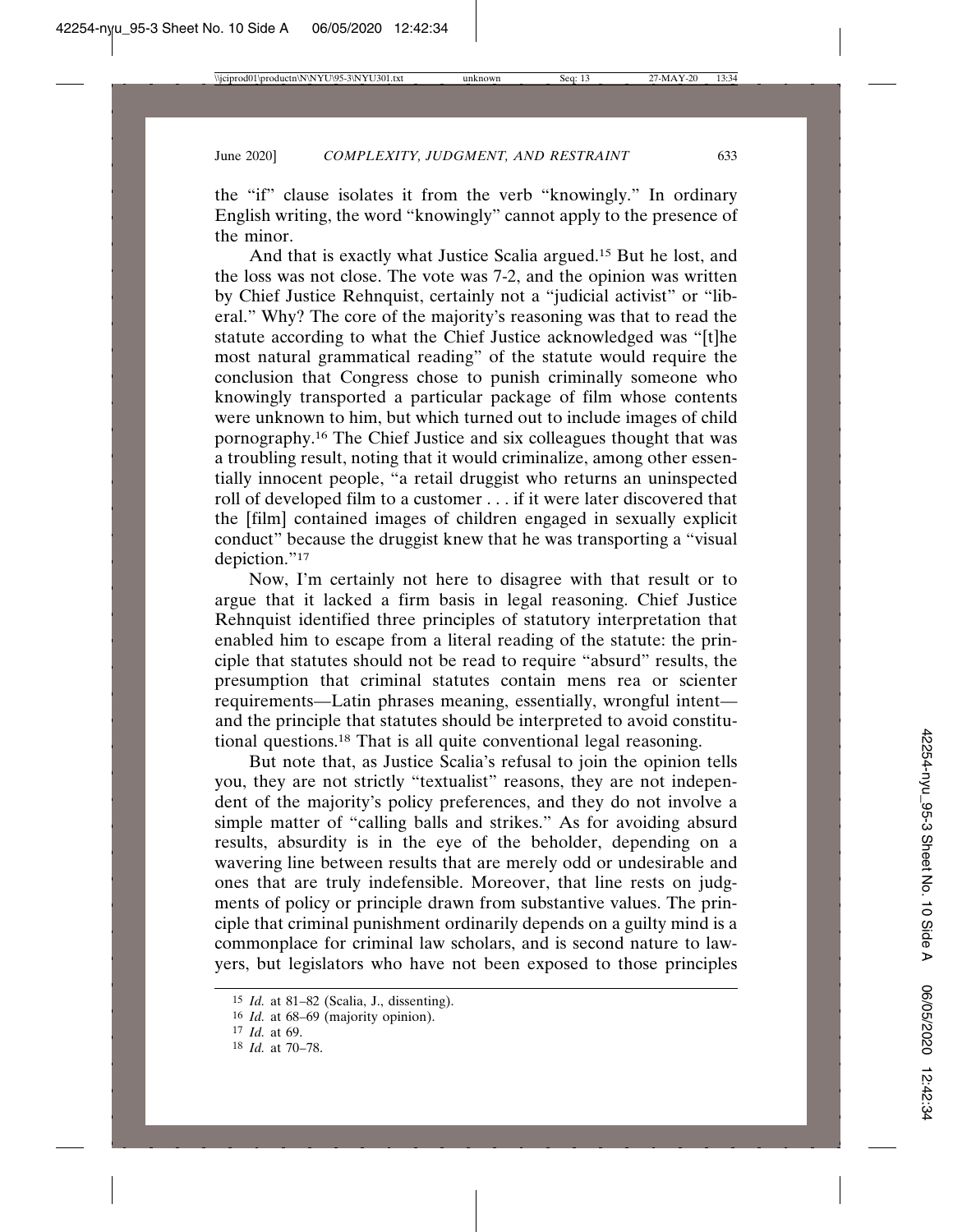the "if" clause isolates it from the verb "knowingly." In ordinary English writing, the word "knowingly" cannot apply to the presence of the minor.

And that is exactly what Justice Scalia argued.15 But he lost, and the loss was not close. The vote was 7-2, and the opinion was written by Chief Justice Rehnquist, certainly not a "judicial activist" or "liberal." Why? The core of the majority's reasoning was that to read the statute according to what the Chief Justice acknowledged was "[t]he most natural grammatical reading" of the statute would require the conclusion that Congress chose to punish criminally someone who knowingly transported a particular package of film whose contents were unknown to him, but which turned out to include images of child pornography.16 The Chief Justice and six colleagues thought that was a troubling result, noting that it would criminalize, among other essentially innocent people, "a retail druggist who returns an uninspected roll of developed film to a customer . . . if it were later discovered that the [film] contained images of children engaged in sexually explicit conduct" because the druggist knew that he was transporting a "visual depiction."<sup>17</sup>

Now, I'm certainly not here to disagree with that result or to argue that it lacked a firm basis in legal reasoning. Chief Justice Rehnquist identified three principles of statutory interpretation that enabled him to escape from a literal reading of the statute: the principle that statutes should not be read to require "absurd" results, the presumption that criminal statutes contain mens rea or scienter requirements—Latin phrases meaning, essentially, wrongful intent and the principle that statutes should be interpreted to avoid constitutional questions.18 That is all quite conventional legal reasoning.

But note that, as Justice Scalia's refusal to join the opinion tells you, they are not strictly "textualist" reasons, they are not independent of the majority's policy preferences, and they do not involve a simple matter of "calling balls and strikes." As for avoiding absurd results, absurdity is in the eye of the beholder, depending on a wavering line between results that are merely odd or undesirable and ones that are truly indefensible. Moreover, that line rests on judgments of policy or principle drawn from substantive values. The principle that criminal punishment ordinarily depends on a guilty mind is a commonplace for criminal law scholars, and is second nature to lawyers, but legislators who have not been exposed to those principles

<sup>15</sup> *Id.* at 81–82 (Scalia, J., dissenting).

<sup>16</sup> *Id.* at 68–69 (majority opinion).

<sup>17</sup> *Id.* at 69.

<sup>18</sup> *Id.* at 70–78.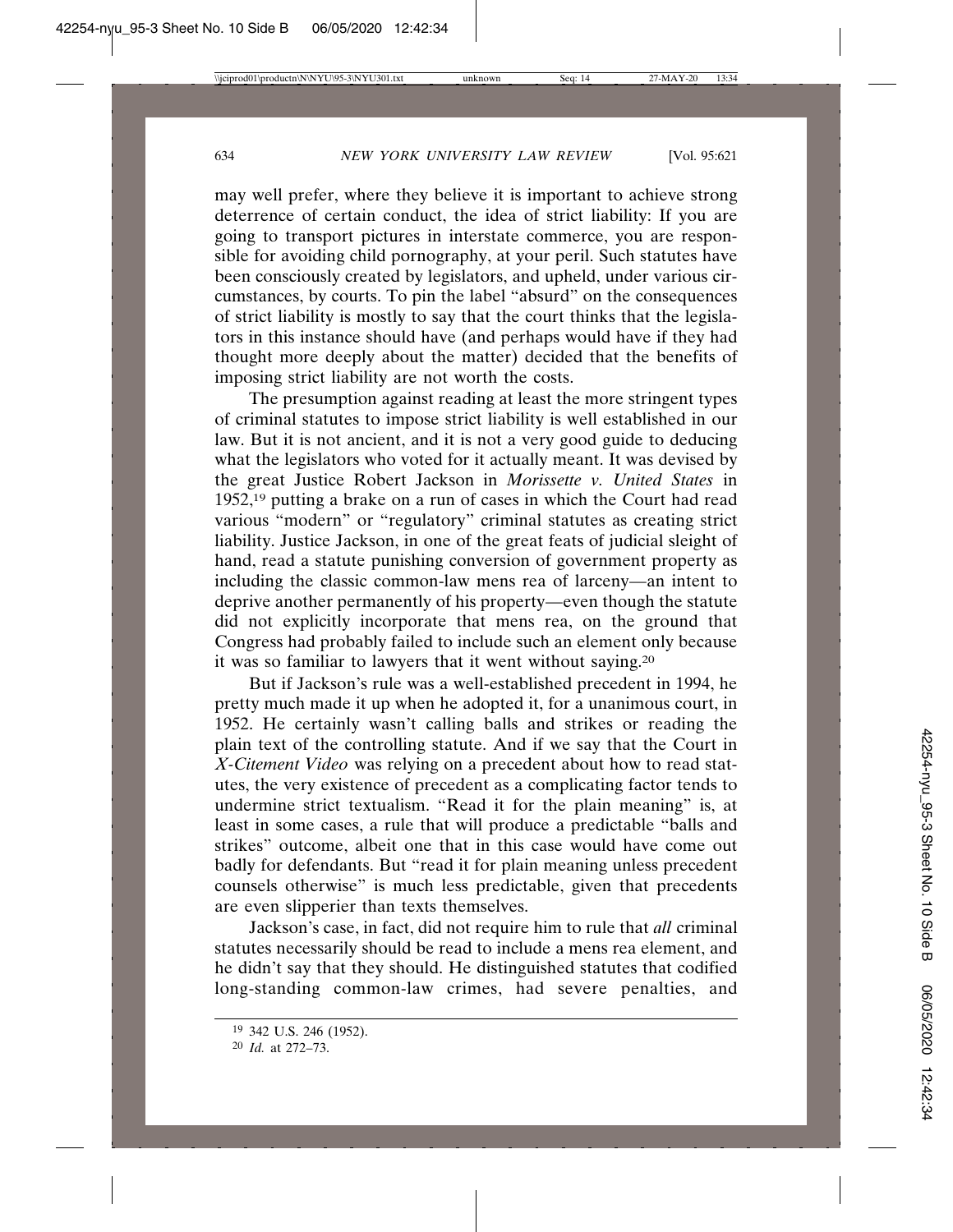may well prefer, where they believe it is important to achieve strong deterrence of certain conduct, the idea of strict liability: If you are going to transport pictures in interstate commerce, you are responsible for avoiding child pornography, at your peril. Such statutes have been consciously created by legislators, and upheld, under various circumstances, by courts. To pin the label "absurd" on the consequences of strict liability is mostly to say that the court thinks that the legislators in this instance should have (and perhaps would have if they had thought more deeply about the matter) decided that the benefits of imposing strict liability are not worth the costs.

The presumption against reading at least the more stringent types of criminal statutes to impose strict liability is well established in our law. But it is not ancient, and it is not a very good guide to deducing what the legislators who voted for it actually meant. It was devised by the great Justice Robert Jackson in *Morissette v. United States* in 1952,<sup>19</sup> putting a brake on a run of cases in which the Court had read various "modern" or "regulatory" criminal statutes as creating strict liability. Justice Jackson, in one of the great feats of judicial sleight of hand, read a statute punishing conversion of government property as including the classic common-law mens rea of larceny—an intent to deprive another permanently of his property—even though the statute did not explicitly incorporate that mens rea, on the ground that Congress had probably failed to include such an element only because it was so familiar to lawyers that it went without saying.20

But if Jackson's rule was a well-established precedent in 1994, he pretty much made it up when he adopted it, for a unanimous court, in 1952. He certainly wasn't calling balls and strikes or reading the plain text of the controlling statute. And if we say that the Court in *X-Citement Video* was relying on a precedent about how to read statutes, the very existence of precedent as a complicating factor tends to undermine strict textualism. "Read it for the plain meaning" is, at least in some cases, a rule that will produce a predictable "balls and strikes" outcome, albeit one that in this case would have come out badly for defendants. But "read it for plain meaning unless precedent counsels otherwise" is much less predictable, given that precedents are even slipperier than texts themselves.

Jackson's case, in fact, did not require him to rule that *all* criminal statutes necessarily should be read to include a mens rea element, and he didn't say that they should. He distinguished statutes that codified long-standing common-law crimes, had severe penalties, and

<sup>19</sup> 342 U.S. 246 (1952).

<sup>20</sup> *Id.* at 272–73.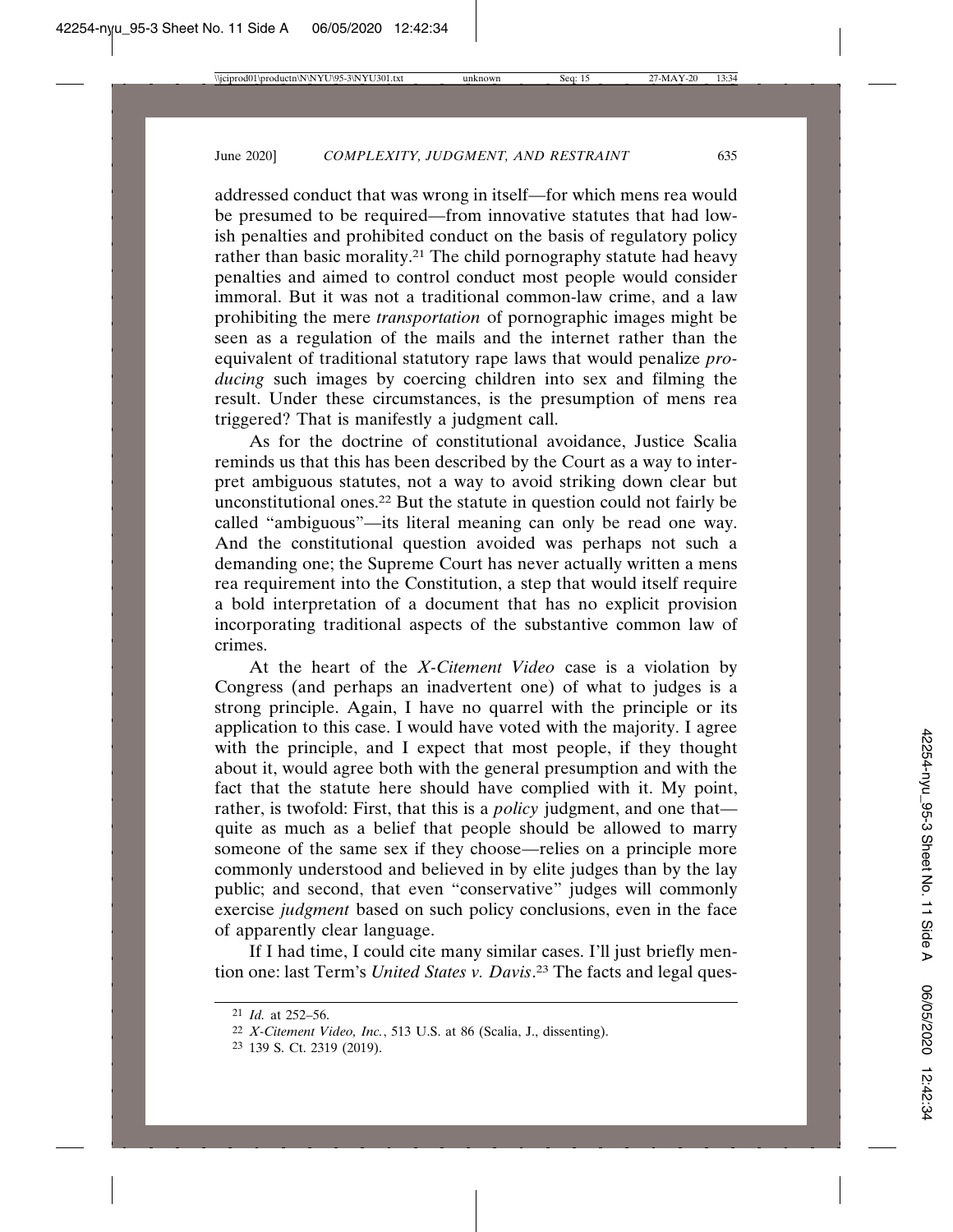addressed conduct that was wrong in itself—for which mens rea would be presumed to be required—from innovative statutes that had lowish penalties and prohibited conduct on the basis of regulatory policy rather than basic morality.<sup>21</sup> The child pornography statute had heavy penalties and aimed to control conduct most people would consider immoral. But it was not a traditional common-law crime, and a law prohibiting the mere *transportation* of pornographic images might be seen as a regulation of the mails and the internet rather than the equivalent of traditional statutory rape laws that would penalize *producing* such images by coercing children into sex and filming the result. Under these circumstances, is the presumption of mens rea triggered? That is manifestly a judgment call.

As for the doctrine of constitutional avoidance, Justice Scalia reminds us that this has been described by the Court as a way to interpret ambiguous statutes, not a way to avoid striking down clear but unconstitutional ones.22 But the statute in question could not fairly be called "ambiguous"—its literal meaning can only be read one way. And the constitutional question avoided was perhaps not such a demanding one; the Supreme Court has never actually written a mens rea requirement into the Constitution, a step that would itself require a bold interpretation of a document that has no explicit provision incorporating traditional aspects of the substantive common law of crimes.

At the heart of the *X-Citement Video* case is a violation by Congress (and perhaps an inadvertent one) of what to judges is a strong principle. Again, I have no quarrel with the principle or its application to this case. I would have voted with the majority. I agree with the principle, and I expect that most people, if they thought about it, would agree both with the general presumption and with the fact that the statute here should have complied with it. My point, rather, is twofold: First, that this is a *policy* judgment, and one that quite as much as a belief that people should be allowed to marry someone of the same sex if they choose—relies on a principle more commonly understood and believed in by elite judges than by the lay public; and second, that even "conservative" judges will commonly exercise *judgment* based on such policy conclusions, even in the face of apparently clear language.

If I had time, I could cite many similar cases. I'll just briefly mention one: last Term's *United States v. Davis*. 23 The facts and legal ques-

<sup>21</sup> *Id.* at 252–56.

<sup>22</sup> *X-Citement Video, Inc.*, 513 U.S. at 86 (Scalia, J., dissenting).

<sup>23</sup> 139 S. Ct. 2319 (2019).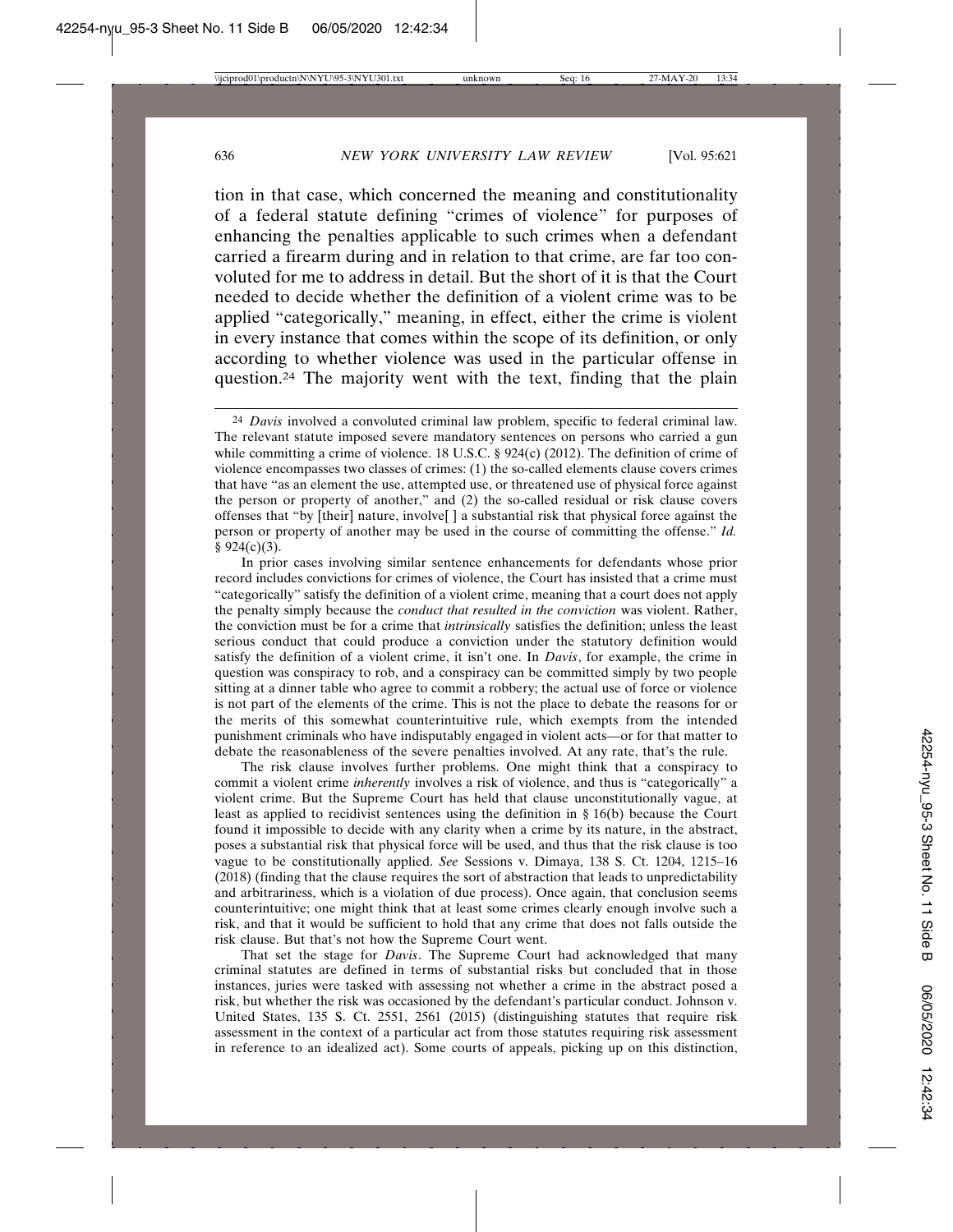tion in that case, which concerned the meaning and constitutionality of a federal statute defining "crimes of violence" for purposes of enhancing the penalties applicable to such crimes when a defendant carried a firearm during and in relation to that crime, are far too convoluted for me to address in detail. But the short of it is that the Court needed to decide whether the definition of a violent crime was to be applied "categorically," meaning, in effect, either the crime is violent in every instance that comes within the scope of its definition, or only according to whether violence was used in the particular offense in question.24 The majority went with the text, finding that the plain

In prior cases involving similar sentence enhancements for defendants whose prior record includes convictions for crimes of violence, the Court has insisted that a crime must "categorically" satisfy the definition of a violent crime, meaning that a court does not apply the penalty simply because the *conduct that resulted in the conviction* was violent. Rather, the conviction must be for a crime that *intrinsically* satisfies the definition; unless the least serious conduct that could produce a conviction under the statutory definition would satisfy the definition of a violent crime, it isn't one. In *Davis*, for example, the crime in question was conspiracy to rob, and a conspiracy can be committed simply by two people sitting at a dinner table who agree to commit a robbery; the actual use of force or violence is not part of the elements of the crime. This is not the place to debate the reasons for or the merits of this somewhat counterintuitive rule, which exempts from the intended punishment criminals who have indisputably engaged in violent acts—or for that matter to debate the reasonableness of the severe penalties involved. At any rate, that's the rule.

The risk clause involves further problems. One might think that a conspiracy to commit a violent crime *inherently* involves a risk of violence, and thus is "categorically" a violent crime. But the Supreme Court has held that clause unconstitutionally vague, at least as applied to recidivist sentences using the definition in § 16(b) because the Court found it impossible to decide with any clarity when a crime by its nature, in the abstract, poses a substantial risk that physical force will be used, and thus that the risk clause is too vague to be constitutionally applied. *See* Sessions v. Dimaya, 138 S. Ct. 1204, 1215–16 (2018) (finding that the clause requires the sort of abstraction that leads to unpredictability and arbitrariness, which is a violation of due process). Once again, that conclusion seems counterintuitive; one might think that at least some crimes clearly enough involve such a risk, and that it would be sufficient to hold that any crime that does not falls outside the risk clause. But that's not how the Supreme Court went.

That set the stage for *Davis*. The Supreme Court had acknowledged that many criminal statutes are defined in terms of substantial risks but concluded that in those instances, juries were tasked with assessing not whether a crime in the abstract posed a risk, but whether the risk was occasioned by the defendant's particular conduct. Johnson v. United States, 135 S. Ct. 2551, 2561 (2015) (distinguishing statutes that require risk assessment in the context of a particular act from those statutes requiring risk assessment in reference to an idealized act). Some courts of appeals, picking up on this distinction,

<sup>24</sup> *Davis* involved a convoluted criminal law problem, specific to federal criminal law. The relevant statute imposed severe mandatory sentences on persons who carried a gun while committing a crime of violence. 18 U.S.C.  $\S$  924(c) (2012). The definition of crime of violence encompasses two classes of crimes: (1) the so-called elements clause covers crimes that have "as an element the use, attempted use, or threatened use of physical force against the person or property of another," and (2) the so-called residual or risk clause covers offenses that "by [their] nature, involve[ ] a substantial risk that physical force against the person or property of another may be used in the course of committing the offense." *Id.*  $§ 924(c)(3).$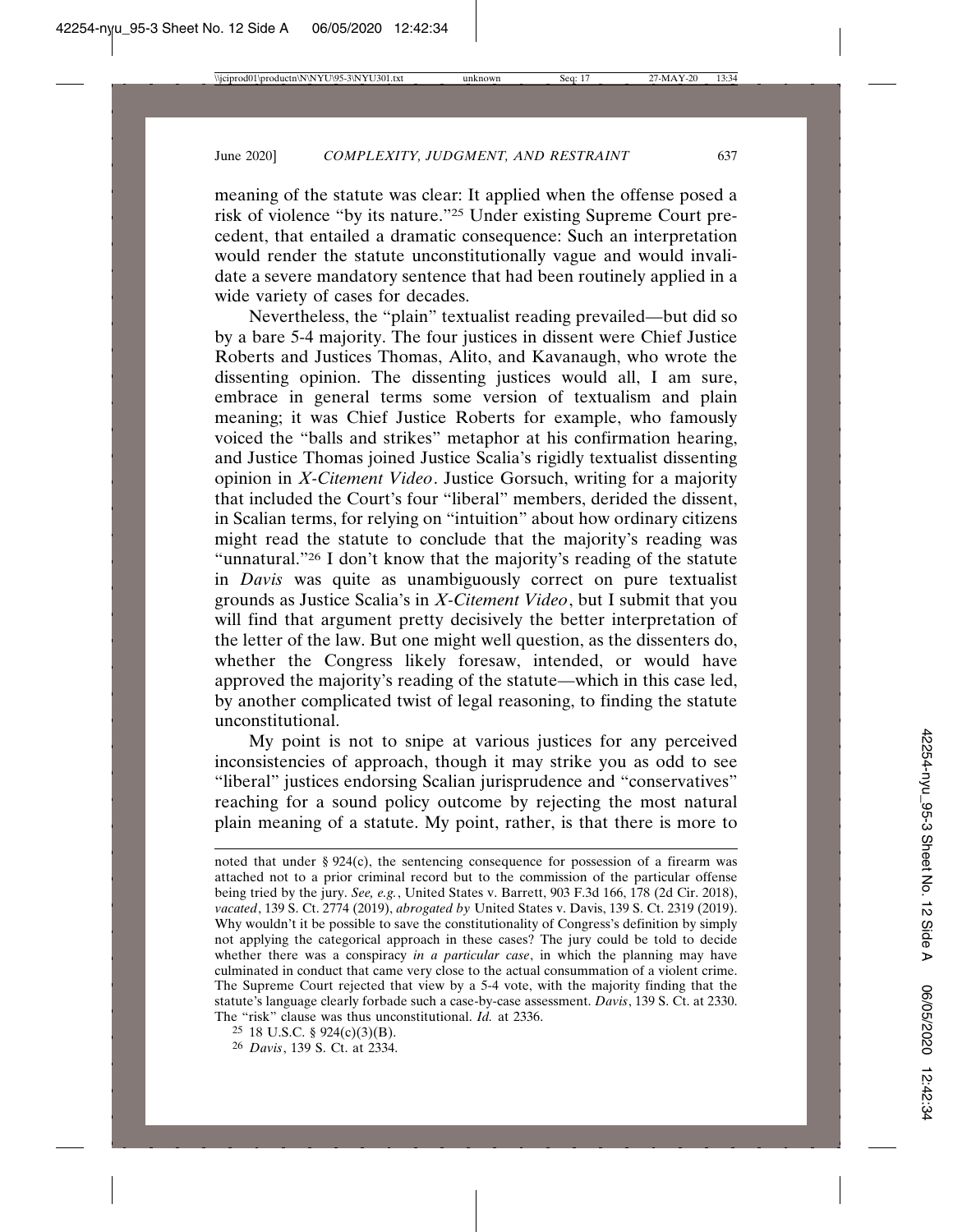meaning of the statute was clear: It applied when the offense posed a risk of violence "by its nature."25 Under existing Supreme Court precedent, that entailed a dramatic consequence: Such an interpretation would render the statute unconstitutionally vague and would invalidate a severe mandatory sentence that had been routinely applied in a wide variety of cases for decades.

Nevertheless, the "plain" textualist reading prevailed—but did so by a bare 5-4 majority. The four justices in dissent were Chief Justice Roberts and Justices Thomas, Alito, and Kavanaugh, who wrote the dissenting opinion. The dissenting justices would all, I am sure, embrace in general terms some version of textualism and plain meaning; it was Chief Justice Roberts for example, who famously voiced the "balls and strikes" metaphor at his confirmation hearing, and Justice Thomas joined Justice Scalia's rigidly textualist dissenting opinion in *X-Citement Video*. Justice Gorsuch, writing for a majority that included the Court's four "liberal" members, derided the dissent, in Scalian terms, for relying on "intuition" about how ordinary citizens might read the statute to conclude that the majority's reading was "unnatural."26 I don't know that the majority's reading of the statute in *Davis* was quite as unambiguously correct on pure textualist grounds as Justice Scalia's in *X-Citement Video*, but I submit that you will find that argument pretty decisively the better interpretation of the letter of the law. But one might well question, as the dissenters do, whether the Congress likely foresaw, intended, or would have approved the majority's reading of the statute—which in this case led, by another complicated twist of legal reasoning, to finding the statute unconstitutional.

My point is not to snipe at various justices for any perceived inconsistencies of approach, though it may strike you as odd to see "liberal" justices endorsing Scalian jurisprudence and "conservatives" reaching for a sound policy outcome by rejecting the most natural plain meaning of a statute. My point, rather, is that there is more to

noted that under  $\S 924(c)$ , the sentencing consequence for possession of a firearm was attached not to a prior criminal record but to the commission of the particular offense being tried by the jury. *See, e.g.*, United States v. Barrett, 903 F.3d 166, 178 (2d Cir. 2018), *vacated*, 139 S. Ct. 2774 (2019), *abrogated by* United States v. Davis, 139 S. Ct. 2319 (2019). Why wouldn't it be possible to save the constitutionality of Congress's definition by simply not applying the categorical approach in these cases? The jury could be told to decide whether there was a conspiracy *in a particular case*, in which the planning may have culminated in conduct that came very close to the actual consummation of a violent crime. The Supreme Court rejected that view by a 5-4 vote, with the majority finding that the statute's language clearly forbade such a case-by-case assessment. *Davis*, 139 S. Ct. at 2330. The "risk" clause was thus unconstitutional. *Id.* at 2336.

<sup>25</sup> 18 U.S.C. § 924(c)(3)(B).

<sup>26</sup> *Davis*, 139 S. Ct. at 2334.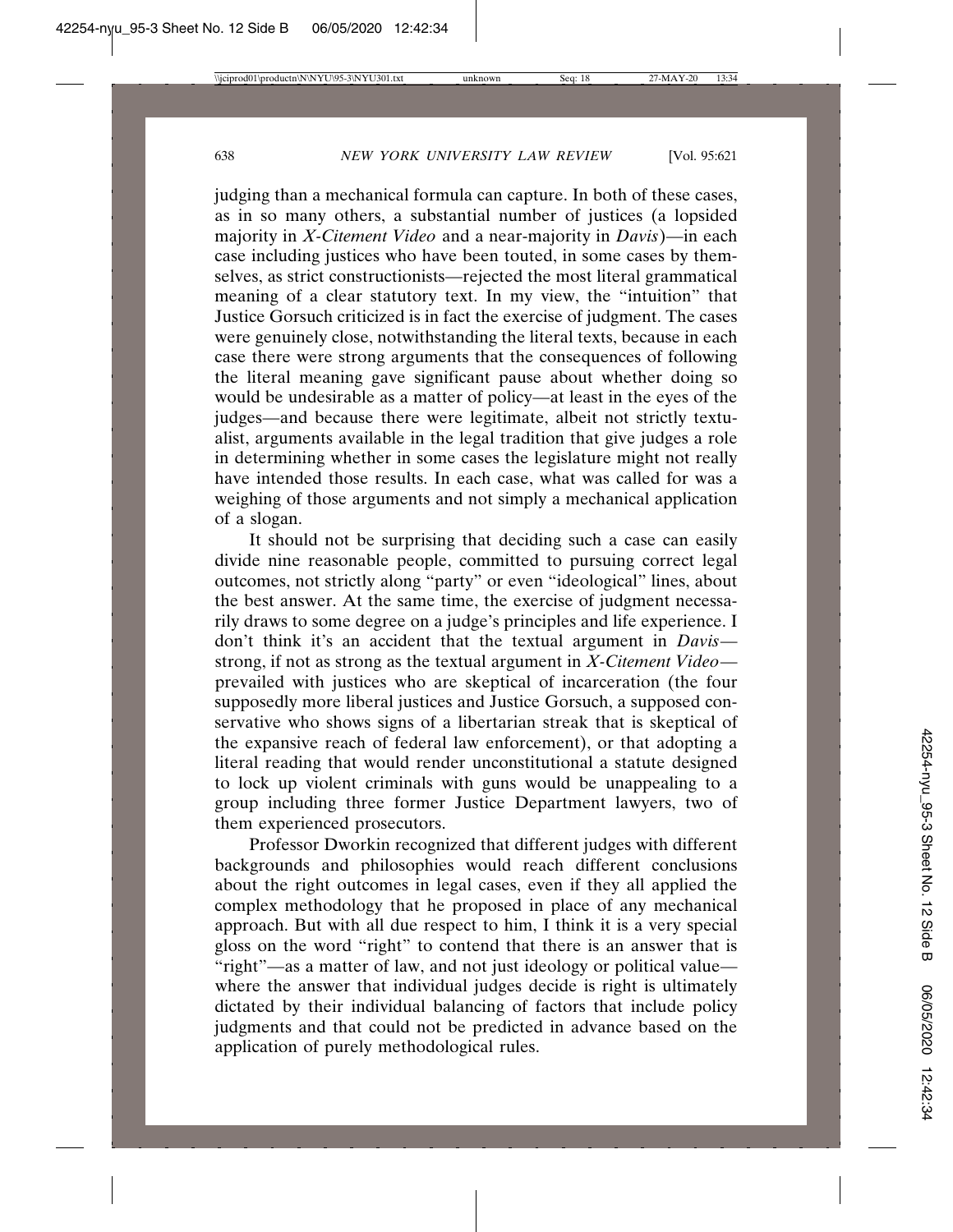judging than a mechanical formula can capture. In both of these cases, as in so many others, a substantial number of justices (a lopsided majority in *X-Citement Video* and a near-majority in *Davis*)—in each case including justices who have been touted, in some cases by themselves, as strict constructionists—rejected the most literal grammatical meaning of a clear statutory text. In my view, the "intuition" that Justice Gorsuch criticized is in fact the exercise of judgment. The cases were genuinely close, notwithstanding the literal texts, because in each case there were strong arguments that the consequences of following the literal meaning gave significant pause about whether doing so would be undesirable as a matter of policy—at least in the eyes of the judges—and because there were legitimate, albeit not strictly textualist, arguments available in the legal tradition that give judges a role in determining whether in some cases the legislature might not really have intended those results. In each case, what was called for was a weighing of those arguments and not simply a mechanical application of a slogan.

It should not be surprising that deciding such a case can easily divide nine reasonable people, committed to pursuing correct legal outcomes, not strictly along "party" or even "ideological" lines, about the best answer. At the same time, the exercise of judgment necessarily draws to some degree on a judge's principles and life experience. I don't think it's an accident that the textual argument in *Davis* strong, if not as strong as the textual argument in *X-Citement Video* prevailed with justices who are skeptical of incarceration (the four supposedly more liberal justices and Justice Gorsuch, a supposed conservative who shows signs of a libertarian streak that is skeptical of the expansive reach of federal law enforcement), or that adopting a literal reading that would render unconstitutional a statute designed to lock up violent criminals with guns would be unappealing to a group including three former Justice Department lawyers, two of them experienced prosecutors.

Professor Dworkin recognized that different judges with different backgrounds and philosophies would reach different conclusions about the right outcomes in legal cases, even if they all applied the complex methodology that he proposed in place of any mechanical approach. But with all due respect to him, I think it is a very special gloss on the word "right" to contend that there is an answer that is "right"—as a matter of law, and not just ideology or political value where the answer that individual judges decide is right is ultimately dictated by their individual balancing of factors that include policy judgments and that could not be predicted in advance based on the application of purely methodological rules.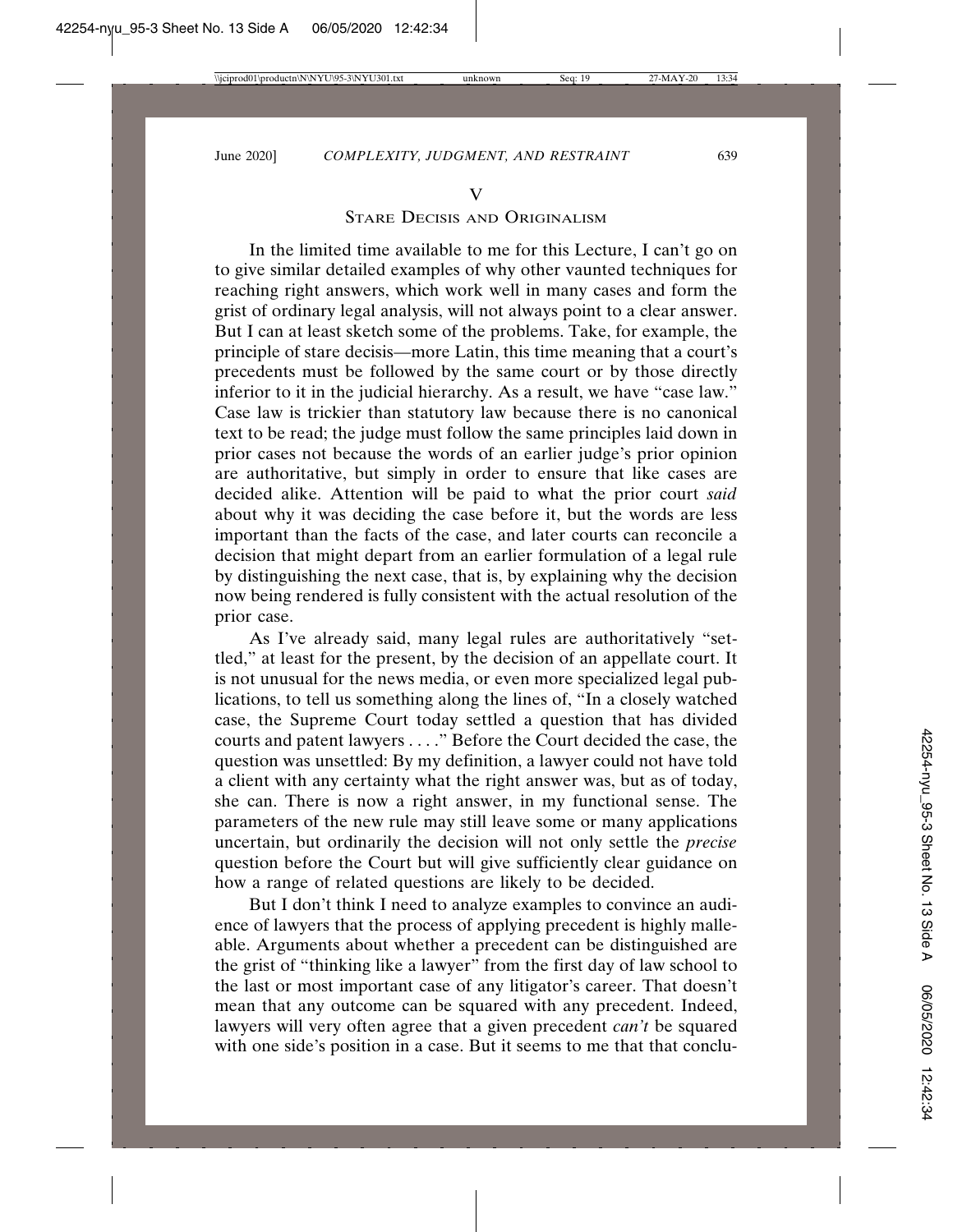## V

# STARE DECISIS AND ORIGINALISM

In the limited time available to me for this Lecture, I can't go on to give similar detailed examples of why other vaunted techniques for reaching right answers, which work well in many cases and form the grist of ordinary legal analysis, will not always point to a clear answer. But I can at least sketch some of the problems. Take, for example, the principle of stare decisis—more Latin, this time meaning that a court's precedents must be followed by the same court or by those directly inferior to it in the judicial hierarchy. As a result, we have "case law." Case law is trickier than statutory law because there is no canonical text to be read; the judge must follow the same principles laid down in prior cases not because the words of an earlier judge's prior opinion are authoritative, but simply in order to ensure that like cases are decided alike. Attention will be paid to what the prior court *said* about why it was deciding the case before it, but the words are less important than the facts of the case, and later courts can reconcile a decision that might depart from an earlier formulation of a legal rule by distinguishing the next case, that is, by explaining why the decision now being rendered is fully consistent with the actual resolution of the prior case.

As I've already said, many legal rules are authoritatively "settled," at least for the present, by the decision of an appellate court. It is not unusual for the news media, or even more specialized legal publications, to tell us something along the lines of, "In a closely watched case, the Supreme Court today settled a question that has divided courts and patent lawyers . . . ." Before the Court decided the case, the question was unsettled: By my definition, a lawyer could not have told a client with any certainty what the right answer was, but as of today, she can. There is now a right answer, in my functional sense. The parameters of the new rule may still leave some or many applications uncertain, but ordinarily the decision will not only settle the *precise* question before the Court but will give sufficiently clear guidance on how a range of related questions are likely to be decided.

But I don't think I need to analyze examples to convince an audience of lawyers that the process of applying precedent is highly malleable. Arguments about whether a precedent can be distinguished are the grist of "thinking like a lawyer" from the first day of law school to the last or most important case of any litigator's career. That doesn't mean that any outcome can be squared with any precedent. Indeed, lawyers will very often agree that a given precedent *can't* be squared with one side's position in a case. But it seems to me that that conclu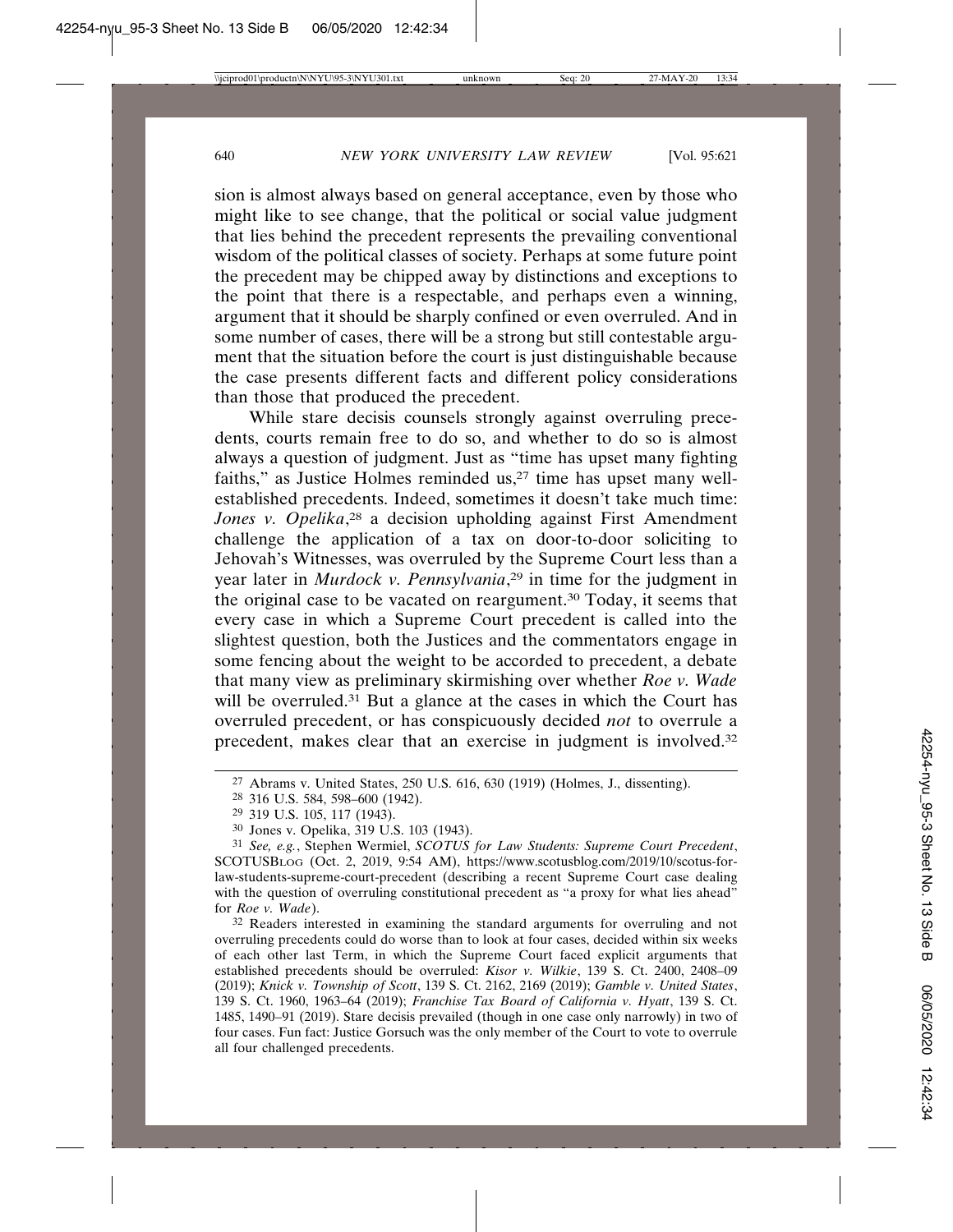sion is almost always based on general acceptance, even by those who might like to see change, that the political or social value judgment that lies behind the precedent represents the prevailing conventional wisdom of the political classes of society. Perhaps at some future point the precedent may be chipped away by distinctions and exceptions to the point that there is a respectable, and perhaps even a winning, argument that it should be sharply confined or even overruled. And in some number of cases, there will be a strong but still contestable argument that the situation before the court is just distinguishable because the case presents different facts and different policy considerations than those that produced the precedent.

While stare decisis counsels strongly against overruling precedents, courts remain free to do so, and whether to do so is almost always a question of judgment. Just as "time has upset many fighting faiths," as Justice Holmes reminded us,<sup>27</sup> time has upset many wellestablished precedents. Indeed, sometimes it doesn't take much time: *Jones v. Opelika*, 28 a decision upholding against First Amendment challenge the application of a tax on door-to-door soliciting to Jehovah's Witnesses, was overruled by the Supreme Court less than a year later in *Murdock v. Pennsylvania*, 29 in time for the judgment in the original case to be vacated on reargument.30 Today, it seems that every case in which a Supreme Court precedent is called into the slightest question, both the Justices and the commentators engage in some fencing about the weight to be accorded to precedent, a debate that many view as preliminary skirmishing over whether *Roe v. Wade* will be overruled.<sup>31</sup> But a glance at the cases in which the Court has overruled precedent, or has conspicuously decided *not* to overrule a precedent, makes clear that an exercise in judgment is involved.32

32 Readers interested in examining the standard arguments for overruling and not overruling precedents could do worse than to look at four cases, decided within six weeks of each other last Term, in which the Supreme Court faced explicit arguments that established precedents should be overruled: *Kisor v. Wilkie*, 139 S. Ct. 2400, 2408–09 (2019); *Knick v. Township of Scott*, 139 S. Ct. 2162, 2169 (2019); *Gamble v. United States*, 139 S. Ct. 1960, 1963–64 (2019); *Franchise Tax Board of California v. Hyatt*, 139 S. Ct. 1485, 1490–91 (2019). Stare decisis prevailed (though in one case only narrowly) in two of four cases. Fun fact: Justice Gorsuch was the only member of the Court to vote to overrule all four challenged precedents.

<sup>27</sup> Abrams v. United States, 250 U.S. 616, 630 (1919) (Holmes, J., dissenting).

<sup>28</sup> 316 U.S. 584, 598–600 (1942).

<sup>29</sup> 319 U.S. 105, 117 (1943).

<sup>30</sup> Jones v. Opelika, 319 U.S. 103 (1943).

<sup>31</sup> *See, e.g.*, Stephen Wermiel, *SCOTUS for Law Students: Supreme Court Precedent*, SCOTUSBLOG (Oct. 2, 2019, 9:54 AM), https://www.scotusblog.com/2019/10/scotus-forlaw-students-supreme-court-precedent (describing a recent Supreme Court case dealing with the question of overruling constitutional precedent as "a proxy for what lies ahead" for *Roe v. Wade*).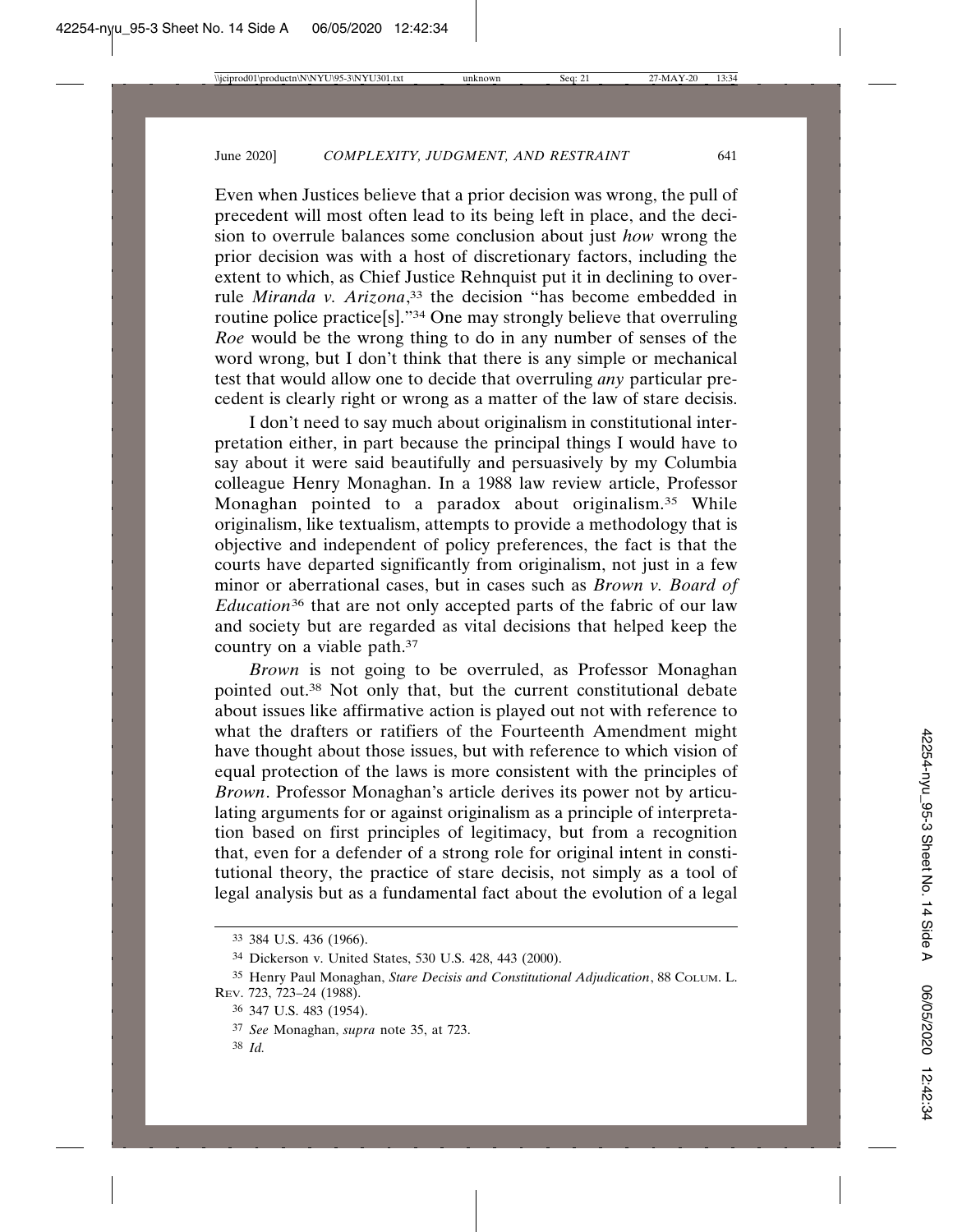Even when Justices believe that a prior decision was wrong, the pull of precedent will most often lead to its being left in place, and the decision to overrule balances some conclusion about just *how* wrong the prior decision was with a host of discretionary factors, including the extent to which, as Chief Justice Rehnquist put it in declining to overrule *Miranda v. Arizona*, 33 the decision "has become embedded in routine police practice[s]."34 One may strongly believe that overruling *Roe* would be the wrong thing to do in any number of senses of the word wrong, but I don't think that there is any simple or mechanical test that would allow one to decide that overruling *any* particular precedent is clearly right or wrong as a matter of the law of stare decisis.

I don't need to say much about originalism in constitutional interpretation either, in part because the principal things I would have to say about it were said beautifully and persuasively by my Columbia colleague Henry Monaghan. In a 1988 law review article, Professor Monaghan pointed to a paradox about originalism.<sup>35</sup> While originalism, like textualism, attempts to provide a methodology that is objective and independent of policy preferences, the fact is that the courts have departed significantly from originalism, not just in a few minor or aberrational cases, but in cases such as *Brown v. Board of Education*36 that are not only accepted parts of the fabric of our law and society but are regarded as vital decisions that helped keep the country on a viable path.37

*Brown* is not going to be overruled, as Professor Monaghan pointed out.38 Not only that, but the current constitutional debate about issues like affirmative action is played out not with reference to what the drafters or ratifiers of the Fourteenth Amendment might have thought about those issues, but with reference to which vision of equal protection of the laws is more consistent with the principles of *Brown*. Professor Monaghan's article derives its power not by articulating arguments for or against originalism as a principle of interpretation based on first principles of legitimacy, but from a recognition that, even for a defender of a strong role for original intent in constitutional theory, the practice of stare decisis, not simply as a tool of legal analysis but as a fundamental fact about the evolution of a legal

38 *Id.*

<sup>33</sup> 384 U.S. 436 (1966).

<sup>34</sup> Dickerson v. United States, 530 U.S. 428, 443 (2000).

<sup>35</sup> Henry Paul Monaghan, *Stare Decisis and Constitutional Adjudication*, 88 COLUM. L. REV. 723, 723–24 (1988).

<sup>36</sup> 347 U.S. 483 (1954).

<sup>37</sup> *See* Monaghan, *supra* note 35, at 723.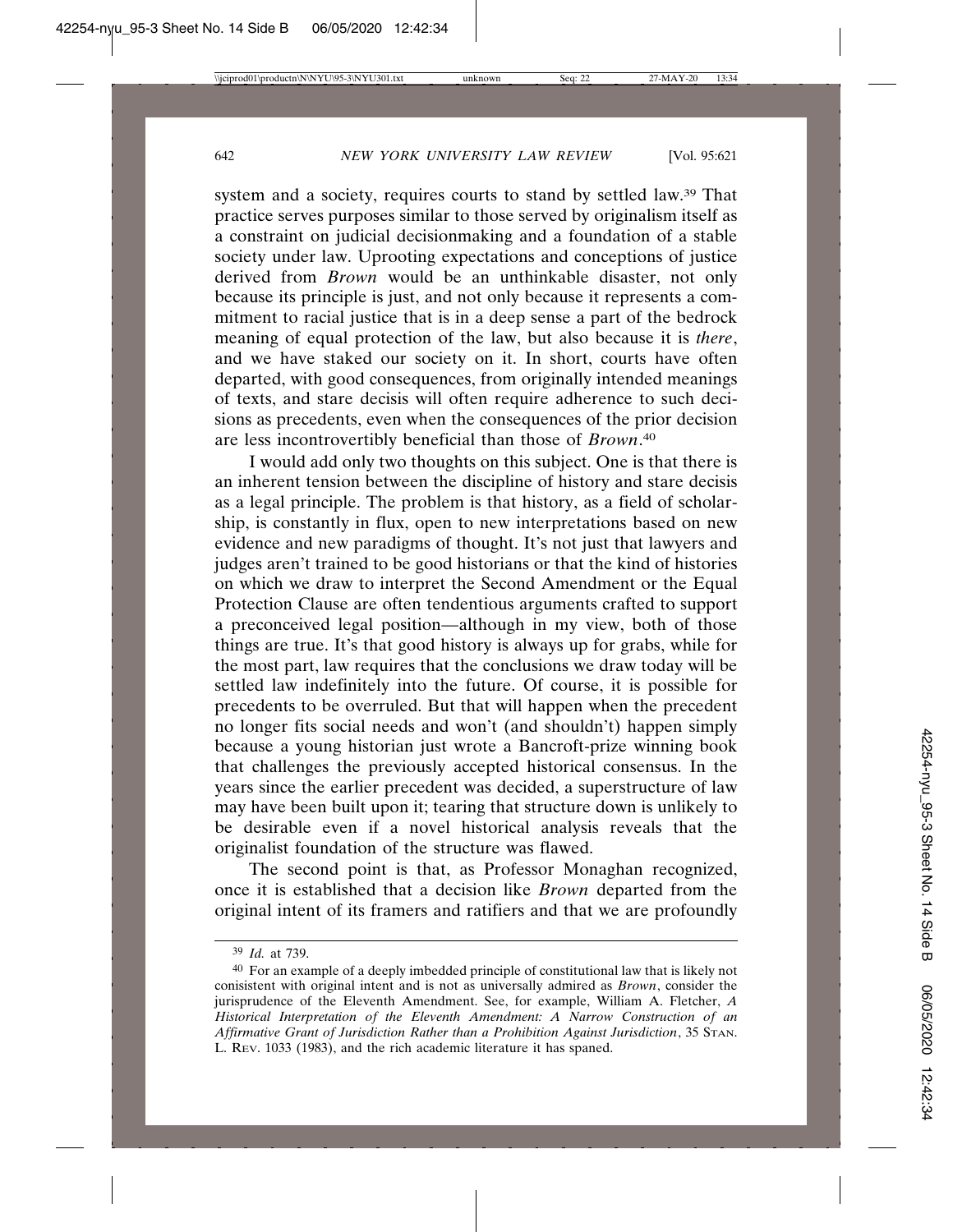system and a society, requires courts to stand by settled law.39 That practice serves purposes similar to those served by originalism itself as a constraint on judicial decisionmaking and a foundation of a stable society under law. Uprooting expectations and conceptions of justice derived from *Brown* would be an unthinkable disaster, not only because its principle is just, and not only because it represents a commitment to racial justice that is in a deep sense a part of the bedrock meaning of equal protection of the law, but also because it is *there*, and we have staked our society on it. In short, courts have often departed, with good consequences, from originally intended meanings of texts, and stare decisis will often require adherence to such decisions as precedents, even when the consequences of the prior decision are less incontrovertibly beneficial than those of *Brown*. 40

I would add only two thoughts on this subject. One is that there is an inherent tension between the discipline of history and stare decisis as a legal principle. The problem is that history, as a field of scholarship, is constantly in flux, open to new interpretations based on new evidence and new paradigms of thought. It's not just that lawyers and judges aren't trained to be good historians or that the kind of histories on which we draw to interpret the Second Amendment or the Equal Protection Clause are often tendentious arguments crafted to support a preconceived legal position—although in my view, both of those things are true. It's that good history is always up for grabs, while for the most part, law requires that the conclusions we draw today will be settled law indefinitely into the future. Of course, it is possible for precedents to be overruled. But that will happen when the precedent no longer fits social needs and won't (and shouldn't) happen simply because a young historian just wrote a Bancroft-prize winning book that challenges the previously accepted historical consensus. In the years since the earlier precedent was decided, a superstructure of law may have been built upon it; tearing that structure down is unlikely to be desirable even if a novel historical analysis reveals that the originalist foundation of the structure was flawed.

The second point is that, as Professor Monaghan recognized, once it is established that a decision like *Brown* departed from the original intent of its framers and ratifiers and that we are profoundly

<sup>39</sup> *Id.* at 739.

<sup>40</sup> For an example of a deeply imbedded principle of constitutional law that is likely not conisistent with original intent and is not as universally admired as *Brown*, consider the jurisprudence of the Eleventh Amendment. See, for example, William A. Fletcher, *A Historical Interpretation of the Eleventh Amendment: A Narrow Construction of an Affirmative Grant of Jurisdiction Rather than a Prohibition Against Jurisdiction*, 35 STAN. L. REV. 1033 (1983), and the rich academic literature it has spaned.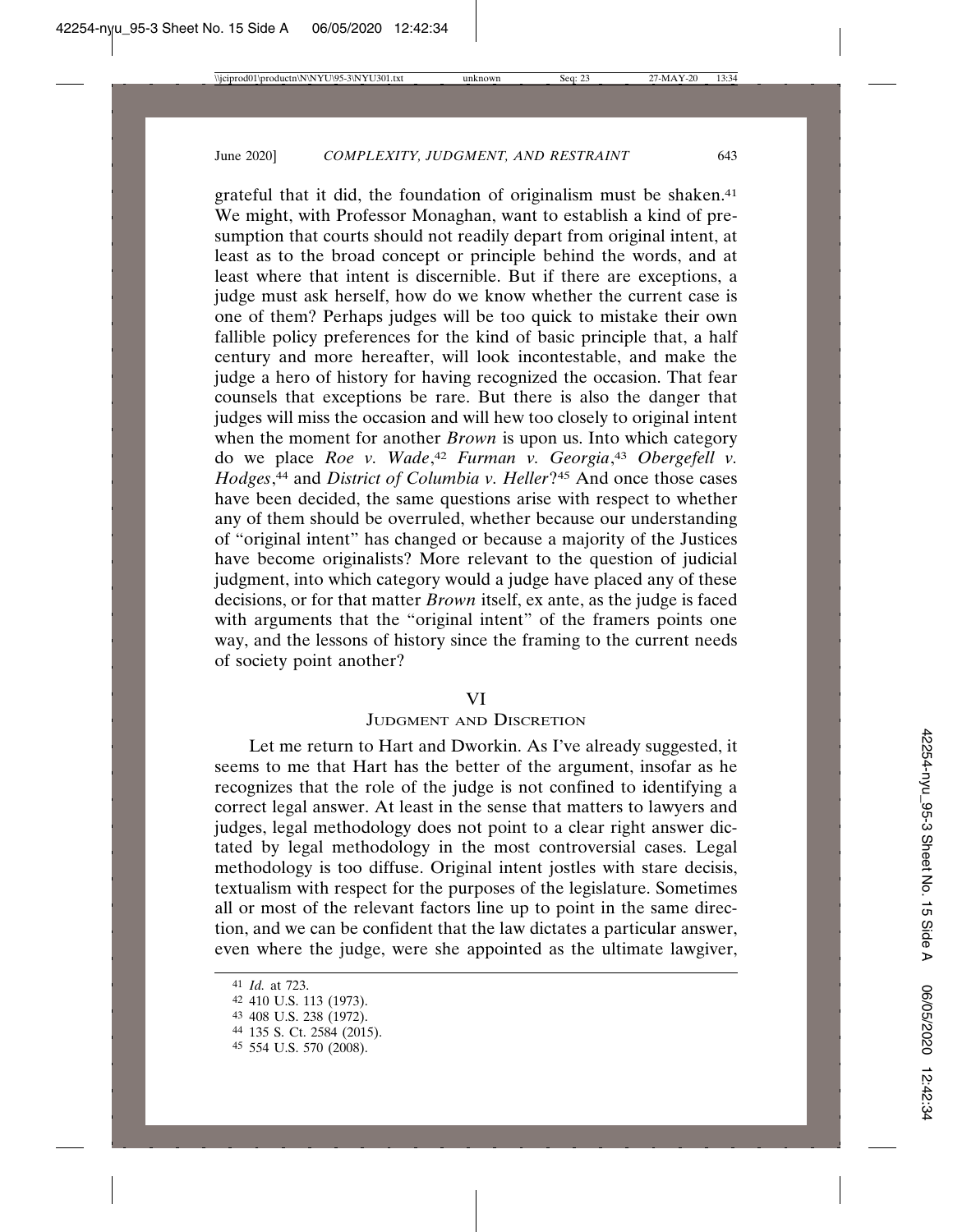grateful that it did, the foundation of originalism must be shaken.<sup>41</sup> We might, with Professor Monaghan, want to establish a kind of presumption that courts should not readily depart from original intent, at least as to the broad concept or principle behind the words, and at least where that intent is discernible. But if there are exceptions, a judge must ask herself, how do we know whether the current case is one of them? Perhaps judges will be too quick to mistake their own fallible policy preferences for the kind of basic principle that, a half century and more hereafter, will look incontestable, and make the judge a hero of history for having recognized the occasion. That fear counsels that exceptions be rare. But there is also the danger that judges will miss the occasion and will hew too closely to original intent when the moment for another *Brown* is upon us. Into which category do we place *Roe v. Wade*, <sup>42</sup> *Furman v. Georgia*, <sup>43</sup> *Obergefell v. Hodges*, 44 and *District of Columbia v. Heller*?45 And once those cases have been decided, the same questions arise with respect to whether any of them should be overruled, whether because our understanding of "original intent" has changed or because a majority of the Justices have become originalists? More relevant to the question of judicial judgment, into which category would a judge have placed any of these decisions, or for that matter *Brown* itself, ex ante, as the judge is faced with arguments that the "original intent" of the framers points one way, and the lessons of history since the framing to the current needs of society point another?

#### VI

## JUDGMENT AND DISCRETION

Let me return to Hart and Dworkin. As I've already suggested, it seems to me that Hart has the better of the argument, insofar as he recognizes that the role of the judge is not confined to identifying a correct legal answer. At least in the sense that matters to lawyers and judges, legal methodology does not point to a clear right answer dictated by legal methodology in the most controversial cases. Legal methodology is too diffuse. Original intent jostles with stare decisis, textualism with respect for the purposes of the legislature. Sometimes all or most of the relevant factors line up to point in the same direction, and we can be confident that the law dictates a particular answer, even where the judge, were she appointed as the ultimate lawgiver,

<sup>41</sup> *Id.* at 723.

<sup>42</sup> 410 U.S. 113 (1973).

<sup>43</sup> 408 U.S. 238 (1972).

<sup>44</sup> 135 S. Ct. 2584 (2015).

<sup>45</sup> 554 U.S. 570 (2008).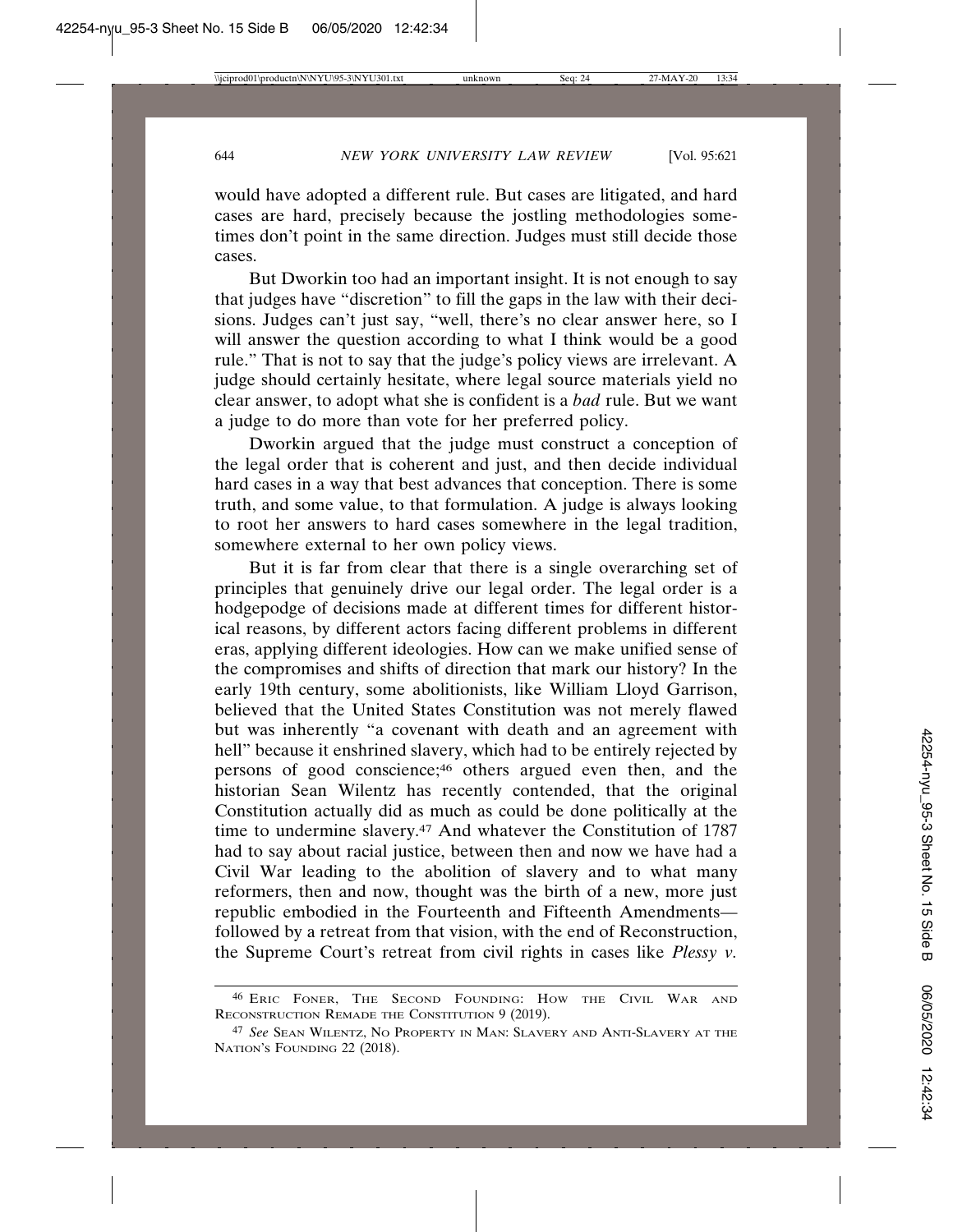would have adopted a different rule. But cases are litigated, and hard cases are hard, precisely because the jostling methodologies sometimes don't point in the same direction. Judges must still decide those cases.

But Dworkin too had an important insight. It is not enough to say that judges have "discretion" to fill the gaps in the law with their decisions. Judges can't just say, "well, there's no clear answer here, so I will answer the question according to what I think would be a good rule." That is not to say that the judge's policy views are irrelevant. A judge should certainly hesitate, where legal source materials yield no clear answer, to adopt what she is confident is a *bad* rule. But we want a judge to do more than vote for her preferred policy.

Dworkin argued that the judge must construct a conception of the legal order that is coherent and just, and then decide individual hard cases in a way that best advances that conception. There is some truth, and some value, to that formulation. A judge is always looking to root her answers to hard cases somewhere in the legal tradition, somewhere external to her own policy views.

But it is far from clear that there is a single overarching set of principles that genuinely drive our legal order. The legal order is a hodgepodge of decisions made at different times for different historical reasons, by different actors facing different problems in different eras, applying different ideologies. How can we make unified sense of the compromises and shifts of direction that mark our history? In the early 19th century, some abolitionists, like William Lloyd Garrison, believed that the United States Constitution was not merely flawed but was inherently "a covenant with death and an agreement with hell" because it enshrined slavery, which had to be entirely rejected by persons of good conscience;46 others argued even then, and the historian Sean Wilentz has recently contended, that the original Constitution actually did as much as could be done politically at the time to undermine slavery.47 And whatever the Constitution of 1787 had to say about racial justice, between then and now we have had a Civil War leading to the abolition of slavery and to what many reformers, then and now, thought was the birth of a new, more just republic embodied in the Fourteenth and Fifteenth Amendments followed by a retreat from that vision, with the end of Reconstruction, the Supreme Court's retreat from civil rights in cases like *Plessy v.*

<sup>46</sup> ERIC FONER, THE SECOND FOUNDING: HOW THE CIVIL WAR AND RECONSTRUCTION REMADE THE CONSTITUTION 9 (2019).

<sup>47</sup> *See* SEAN WILENTZ, NO PROPERTY IN MAN: SLAVERY AND ANTI-SLAVERY AT THE NATION'S FOUNDING 22 (2018).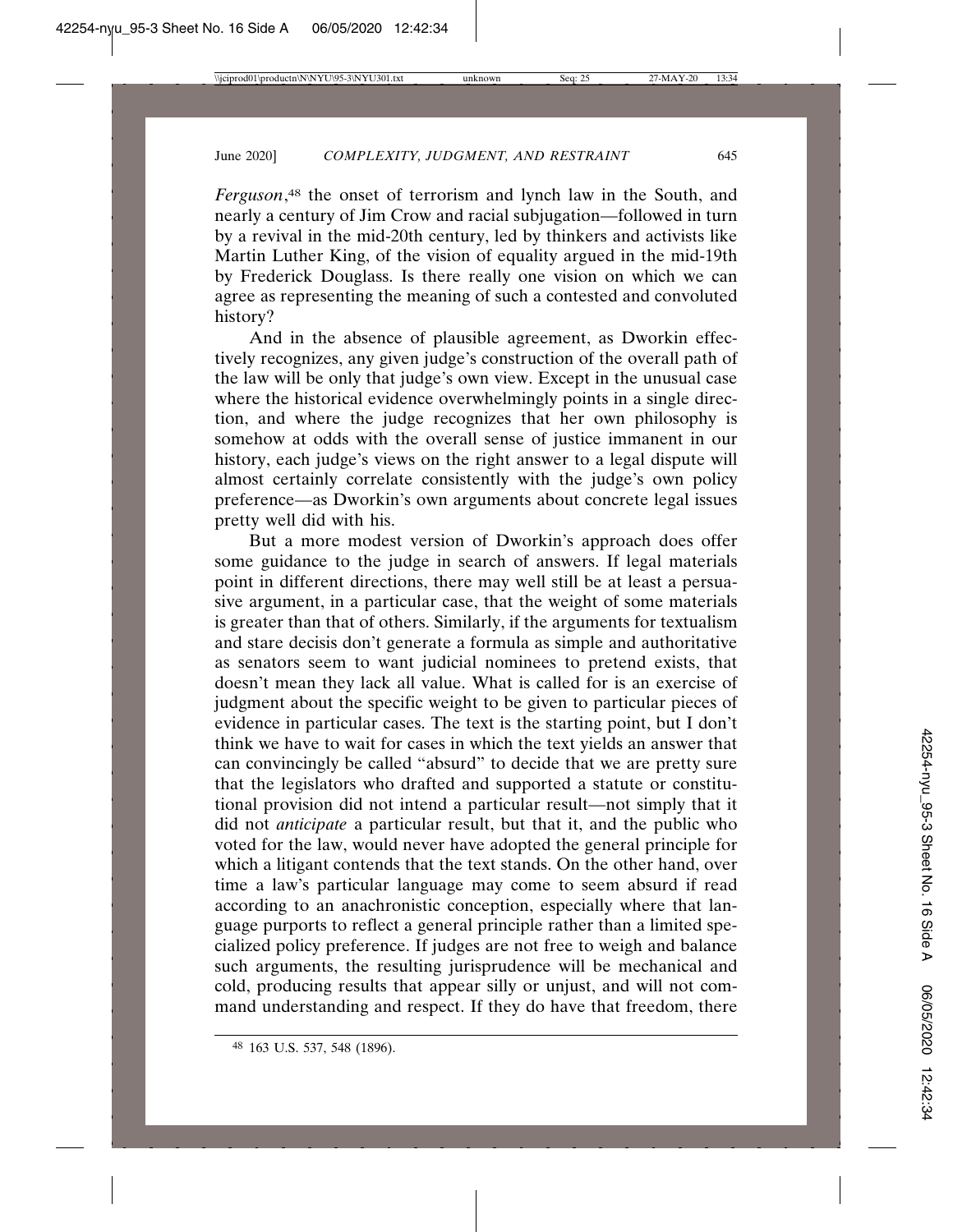*Ferguson*, 48 the onset of terrorism and lynch law in the South, and nearly a century of Jim Crow and racial subjugation—followed in turn by a revival in the mid-20th century, led by thinkers and activists like Martin Luther King, of the vision of equality argued in the mid-19th by Frederick Douglass. Is there really one vision on which we can agree as representing the meaning of such a contested and convoluted history?

And in the absence of plausible agreement, as Dworkin effectively recognizes, any given judge's construction of the overall path of the law will be only that judge's own view. Except in the unusual case where the historical evidence overwhelmingly points in a single direction, and where the judge recognizes that her own philosophy is somehow at odds with the overall sense of justice immanent in our history, each judge's views on the right answer to a legal dispute will almost certainly correlate consistently with the judge's own policy preference—as Dworkin's own arguments about concrete legal issues pretty well did with his.

But a more modest version of Dworkin's approach does offer some guidance to the judge in search of answers. If legal materials point in different directions, there may well still be at least a persuasive argument, in a particular case, that the weight of some materials is greater than that of others. Similarly, if the arguments for textualism and stare decisis don't generate a formula as simple and authoritative as senators seem to want judicial nominees to pretend exists, that doesn't mean they lack all value. What is called for is an exercise of judgment about the specific weight to be given to particular pieces of evidence in particular cases. The text is the starting point, but I don't think we have to wait for cases in which the text yields an answer that can convincingly be called "absurd" to decide that we are pretty sure that the legislators who drafted and supported a statute or constitutional provision did not intend a particular result—not simply that it did not *anticipate* a particular result, but that it, and the public who voted for the law, would never have adopted the general principle for which a litigant contends that the text stands. On the other hand, over time a law's particular language may come to seem absurd if read according to an anachronistic conception, especially where that language purports to reflect a general principle rather than a limited specialized policy preference. If judges are not free to weigh and balance such arguments, the resulting jurisprudence will be mechanical and cold, producing results that appear silly or unjust, and will not command understanding and respect. If they do have that freedom, there

<sup>48</sup> 163 U.S. 537, 548 (1896).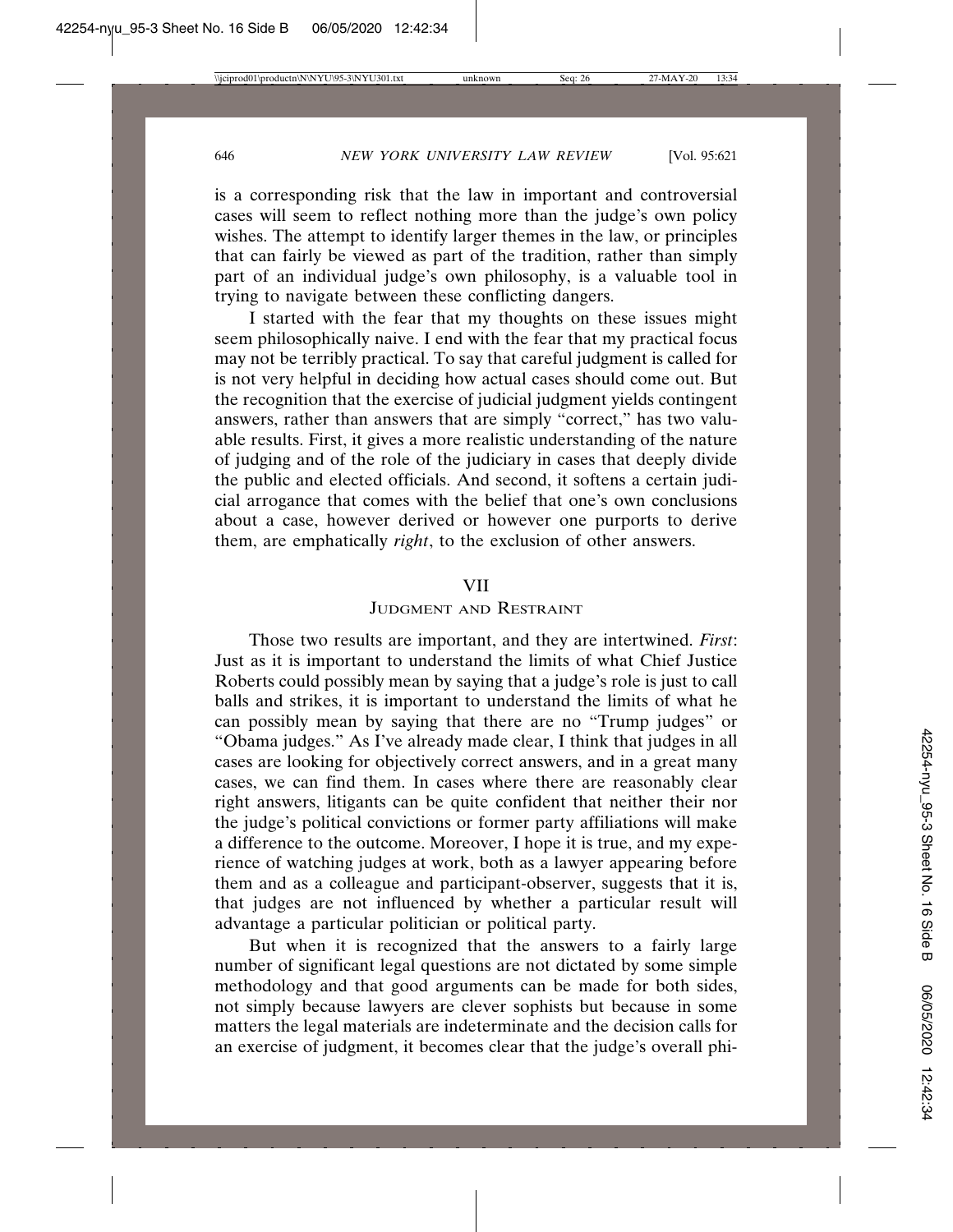is a corresponding risk that the law in important and controversial cases will seem to reflect nothing more than the judge's own policy wishes. The attempt to identify larger themes in the law, or principles that can fairly be viewed as part of the tradition, rather than simply part of an individual judge's own philosophy, is a valuable tool in trying to navigate between these conflicting dangers.

I started with the fear that my thoughts on these issues might seem philosophically naive. I end with the fear that my practical focus may not be terribly practical. To say that careful judgment is called for is not very helpful in deciding how actual cases should come out. But the recognition that the exercise of judicial judgment yields contingent answers, rather than answers that are simply "correct," has two valuable results. First, it gives a more realistic understanding of the nature of judging and of the role of the judiciary in cases that deeply divide the public and elected officials. And second, it softens a certain judicial arrogance that comes with the belief that one's own conclusions about a case, however derived or however one purports to derive them, are emphatically *right*, to the exclusion of other answers.

#### VII

# JUDGMENT AND RESTRAINT

Those two results are important, and they are intertwined. *First*: Just as it is important to understand the limits of what Chief Justice Roberts could possibly mean by saying that a judge's role is just to call balls and strikes, it is important to understand the limits of what he can possibly mean by saying that there are no "Trump judges" or "Obama judges." As I've already made clear, I think that judges in all cases are looking for objectively correct answers, and in a great many cases, we can find them. In cases where there are reasonably clear right answers, litigants can be quite confident that neither their nor the judge's political convictions or former party affiliations will make a difference to the outcome. Moreover, I hope it is true, and my experience of watching judges at work, both as a lawyer appearing before them and as a colleague and participant-observer, suggests that it is, that judges are not influenced by whether a particular result will advantage a particular politician or political party.

But when it is recognized that the answers to a fairly large number of significant legal questions are not dictated by some simple methodology and that good arguments can be made for both sides, not simply because lawyers are clever sophists but because in some matters the legal materials are indeterminate and the decision calls for an exercise of judgment, it becomes clear that the judge's overall phi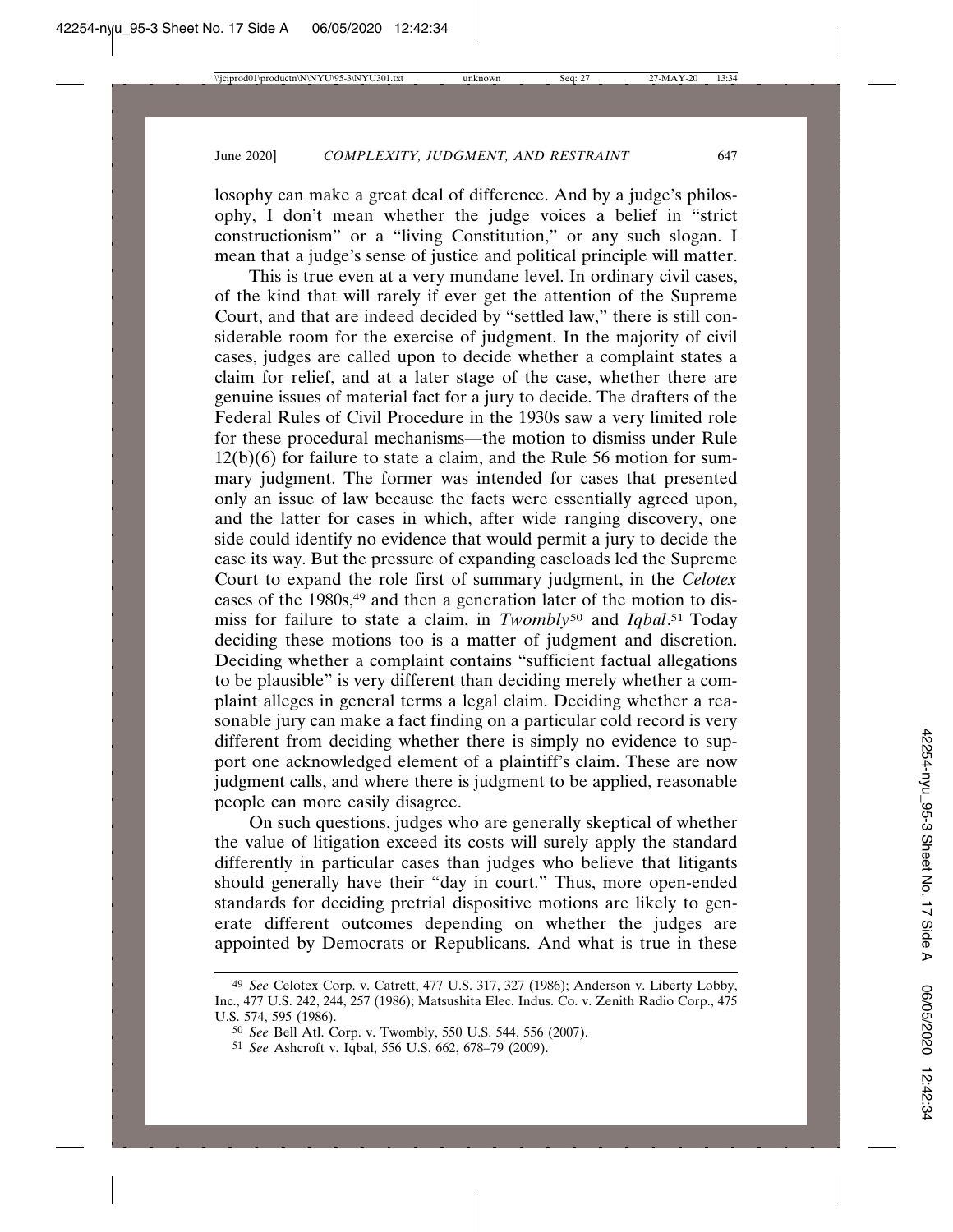losophy can make a great deal of difference. And by a judge's philosophy, I don't mean whether the judge voices a belief in "strict constructionism" or a "living Constitution," or any such slogan. I mean that a judge's sense of justice and political principle will matter.

This is true even at a very mundane level. In ordinary civil cases, of the kind that will rarely if ever get the attention of the Supreme Court, and that are indeed decided by "settled law," there is still considerable room for the exercise of judgment. In the majority of civil cases, judges are called upon to decide whether a complaint states a claim for relief, and at a later stage of the case, whether there are genuine issues of material fact for a jury to decide. The drafters of the Federal Rules of Civil Procedure in the 1930s saw a very limited role for these procedural mechanisms—the motion to dismiss under Rule 12(b)(6) for failure to state a claim, and the Rule 56 motion for summary judgment. The former was intended for cases that presented only an issue of law because the facts were essentially agreed upon, and the latter for cases in which, after wide ranging discovery, one side could identify no evidence that would permit a jury to decide the case its way. But the pressure of expanding caseloads led the Supreme Court to expand the role first of summary judgment, in the *Celotex* cases of the 1980s,<sup>49</sup> and then a generation later of the motion to dismiss for failure to state a claim, in *Twombly*<sup>50</sup> and *Iqbal*. 51 Today deciding these motions too is a matter of judgment and discretion. Deciding whether a complaint contains "sufficient factual allegations to be plausible" is very different than deciding merely whether a complaint alleges in general terms a legal claim. Deciding whether a reasonable jury can make a fact finding on a particular cold record is very different from deciding whether there is simply no evidence to support one acknowledged element of a plaintiff's claim. These are now judgment calls, and where there is judgment to be applied, reasonable people can more easily disagree.

On such questions, judges who are generally skeptical of whether the value of litigation exceed its costs will surely apply the standard differently in particular cases than judges who believe that litigants should generally have their "day in court." Thus, more open-ended standards for deciding pretrial dispositive motions are likely to generate different outcomes depending on whether the judges are appointed by Democrats or Republicans. And what is true in these

<sup>49</sup> *See* Celotex Corp. v. Catrett, 477 U.S. 317, 327 (1986); Anderson v. Liberty Lobby, Inc., 477 U.S. 242, 244, 257 (1986); Matsushita Elec. Indus. Co. v. Zenith Radio Corp., 475 U.S. 574, 595 (1986).

<sup>50</sup> *See* Bell Atl. Corp. v. Twombly, 550 U.S. 544, 556 (2007).

<sup>51</sup> *See* Ashcroft v. Iqbal, 556 U.S. 662, 678–79 (2009).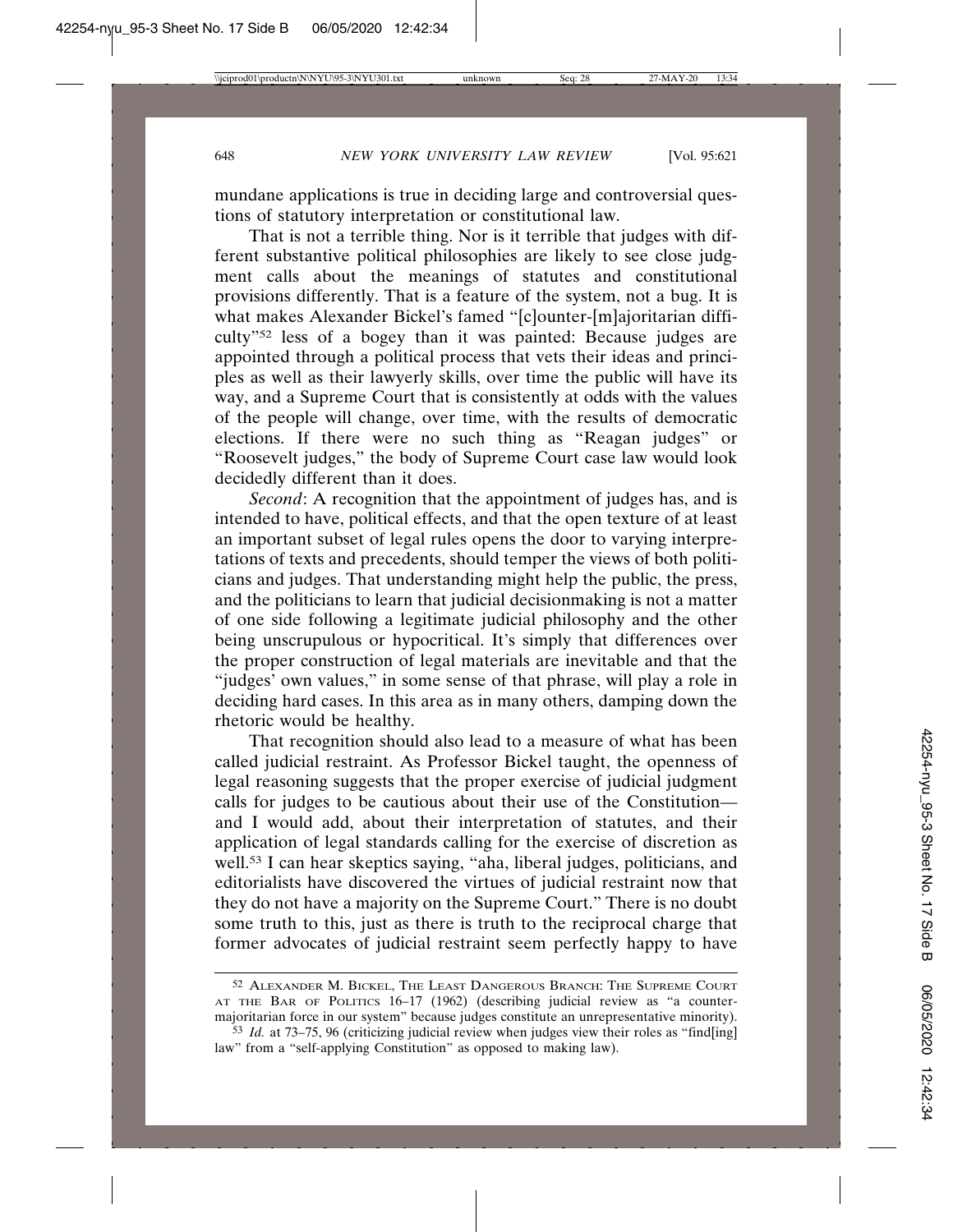mundane applications is true in deciding large and controversial questions of statutory interpretation or constitutional law.

That is not a terrible thing. Nor is it terrible that judges with different substantive political philosophies are likely to see close judgment calls about the meanings of statutes and constitutional provisions differently. That is a feature of the system, not a bug. It is what makes Alexander Bickel's famed "[c]ounter-[m]ajoritarian difficulty"52 less of a bogey than it was painted: Because judges are appointed through a political process that vets their ideas and principles as well as their lawyerly skills, over time the public will have its way, and a Supreme Court that is consistently at odds with the values of the people will change, over time, with the results of democratic elections. If there were no such thing as "Reagan judges" or "Roosevelt judges," the body of Supreme Court case law would look decidedly different than it does.

*Second*: A recognition that the appointment of judges has, and is intended to have, political effects, and that the open texture of at least an important subset of legal rules opens the door to varying interpretations of texts and precedents, should temper the views of both politicians and judges. That understanding might help the public, the press, and the politicians to learn that judicial decisionmaking is not a matter of one side following a legitimate judicial philosophy and the other being unscrupulous or hypocritical. It's simply that differences over the proper construction of legal materials are inevitable and that the "judges' own values," in some sense of that phrase, will play a role in deciding hard cases. In this area as in many others, damping down the rhetoric would be healthy.

That recognition should also lead to a measure of what has been called judicial restraint. As Professor Bickel taught, the openness of legal reasoning suggests that the proper exercise of judicial judgment calls for judges to be cautious about their use of the Constitution and I would add, about their interpretation of statutes, and their application of legal standards calling for the exercise of discretion as well.53 I can hear skeptics saying, "aha, liberal judges, politicians, and editorialists have discovered the virtues of judicial restraint now that they do not have a majority on the Supreme Court." There is no doubt some truth to this, just as there is truth to the reciprocal charge that former advocates of judicial restraint seem perfectly happy to have

<sup>52</sup> ALEXANDER M. BICKEL, THE LEAST DANGEROUS BRANCH: THE SUPREME COURT AT THE BAR OF POLITICS 16–17 (1962) (describing judicial review as "a countermajoritarian force in our system" because judges constitute an unrepresentative minority).

<sup>53</sup> *Id.* at 73–75, 96 (criticizing judicial review when judges view their roles as "find[ing] law" from a "self-applying Constitution" as opposed to making law).